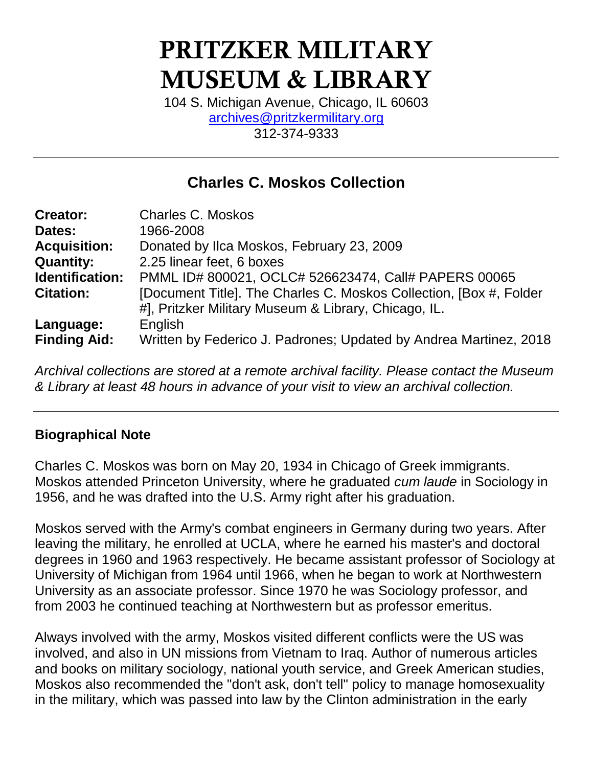# PRITZKER MILITARY MUSEUM & LIBRARY

104 S. Michigan Avenue, Chicago, IL 60603 [archives@pritzkermilitary.org](mailto:archives@pritzkermilitary.org) 312-374-9333

# **Charles C. Moskos Collection**

| <b>Creator:</b>     | <b>Charles C. Moskos</b>                                           |
|---------------------|--------------------------------------------------------------------|
| Dates:              | 1966-2008                                                          |
| <b>Acquisition:</b> | Donated by Ilca Moskos, February 23, 2009                          |
| <b>Quantity:</b>    | 2.25 linear feet, 6 boxes                                          |
| Identification:     | PMML ID# 800021, OCLC# 526623474, Call# PAPERS 00065               |
| <b>Citation:</b>    | [Document Title]. The Charles C. Moskos Collection, [Box #, Folder |
|                     | #], Pritzker Military Museum & Library, Chicago, IL.               |
| Language:           | English                                                            |
| <b>Finding Aid:</b> | Written by Federico J. Padrones; Updated by Andrea Martinez, 2018  |

*Archival collections are stored at a remote archival facility. Please contact the Museum & Library at least 48 hours in advance of your visit to view an archival collection.*

#### **Biographical Note**

Charles C. Moskos was born on May 20, 1934 in Chicago of Greek immigrants. Moskos attended Princeton University, where he graduated *cum laude* in Sociology in 1956, and he was drafted into the U.S. Army right after his graduation.

Moskos served with the Army's combat engineers in Germany during two years. After leaving the military, he enrolled at UCLA, where he earned his master's and doctoral degrees in 1960 and 1963 respectively. He became assistant professor of Sociology at University of Michigan from 1964 until 1966, when he began to work at Northwestern University as an associate professor. Since 1970 he was Sociology professor, and from 2003 he continued teaching at Northwestern but as professor emeritus.

Always involved with the army, Moskos visited different conflicts were the US was involved, and also in UN missions from Vietnam to Iraq. Author of numerous articles and books on military sociology, national youth service, and Greek American studies, Moskos also recommended the "don't ask, don't tell" policy to manage homosexuality in the military, which was passed into law by the Clinton administration in the early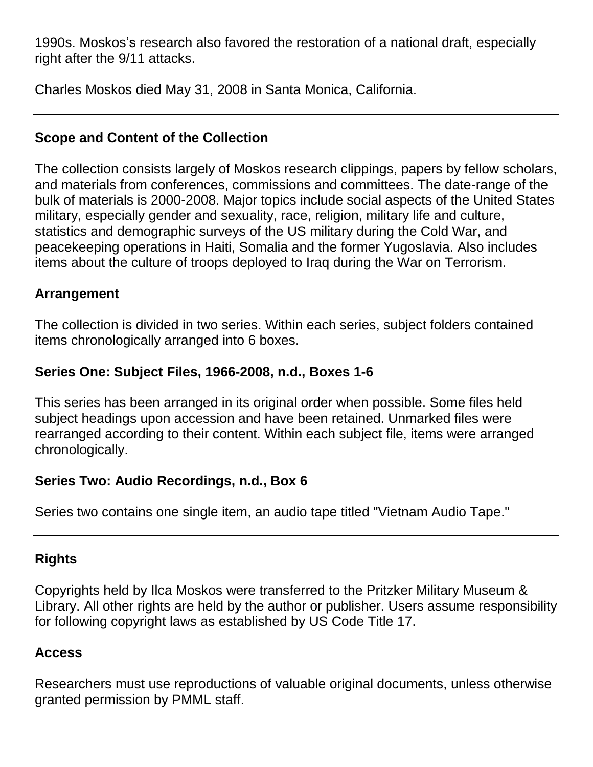1990s. Moskos's research also favored the restoration of a national draft, especially right after the 9/11 attacks.

Charles Moskos died May 31, 2008 in Santa Monica, California.

## **Scope and Content of the Collection**

The collection consists largely of Moskos research clippings, papers by fellow scholars, and materials from conferences, commissions and committees. The date-range of the bulk of materials is 2000-2008. Major topics include social aspects of the United States military, especially gender and sexuality, race, religion, military life and culture, statistics and demographic surveys of the US military during the Cold War, and peacekeeping operations in Haiti, Somalia and the former Yugoslavia. Also includes items about the culture of troops deployed to Iraq during the War on Terrorism.

#### **Arrangement**

The collection is divided in two series. Within each series, subject folders contained items chronologically arranged into 6 boxes.

## **Series One: Subject Files, 1966-2008, n.d., Boxes 1-6**

This series has been arranged in its original order when possible. Some files held subject headings upon accession and have been retained. Unmarked files were rearranged according to their content. Within each subject file, items were arranged chronologically.

#### **Series Two: Audio Recordings, n.d., Box 6**

Series two contains one single item, an audio tape titled "Vietnam Audio Tape."

## **Rights**

Copyrights held by Ilca Moskos were transferred to the Pritzker Military Museum & Library. All other rights are held by the author or publisher. Users assume responsibility for following copyright laws as established by US Code Title 17.

## **Access**

Researchers must use reproductions of valuable original documents, unless otherwise granted permission by PMML staff.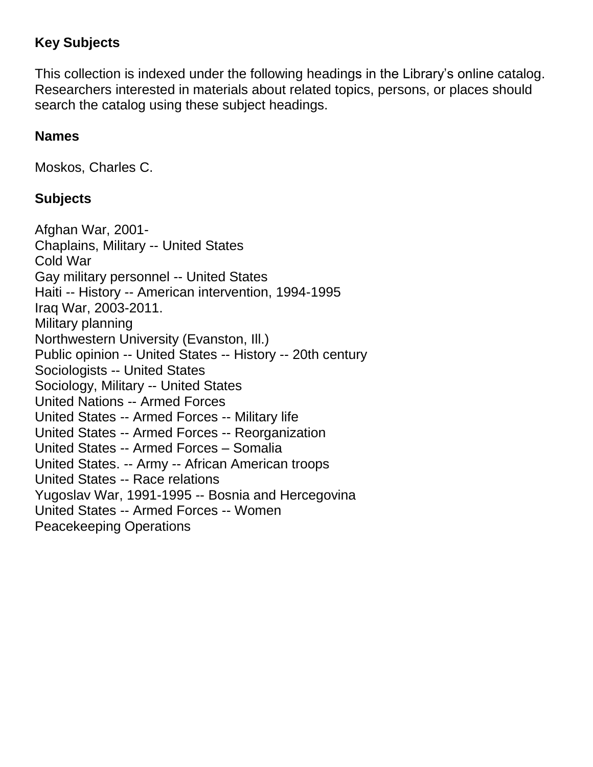## **Key Subjects**

This collection is indexed under the following headings in the Library's online catalog. Researchers interested in materials about related topics, persons, or places should search the catalog using these subject headings.

#### **Names**

Moskos, Charles C.

#### **Subjects**

Afghan War, 2001- Chaplains, Military -- United States Cold War Gay military personnel -- United States Haiti -- History -- American intervention, 1994-1995 Iraq War, 2003-2011. Military planning Northwestern University (Evanston, Ill.) Public opinion -- United States -- History -- 20th century Sociologists -- United States Sociology, Military -- United States United Nations -- Armed Forces United States -- Armed Forces -- Military life United States -- Armed Forces -- Reorganization United States -- Armed Forces – Somalia United States. -- Army -- African American troops United States -- Race relations Yugoslav War, 1991-1995 -- Bosnia and Hercegovina United States -- Armed Forces -- Women Peacekeeping Operations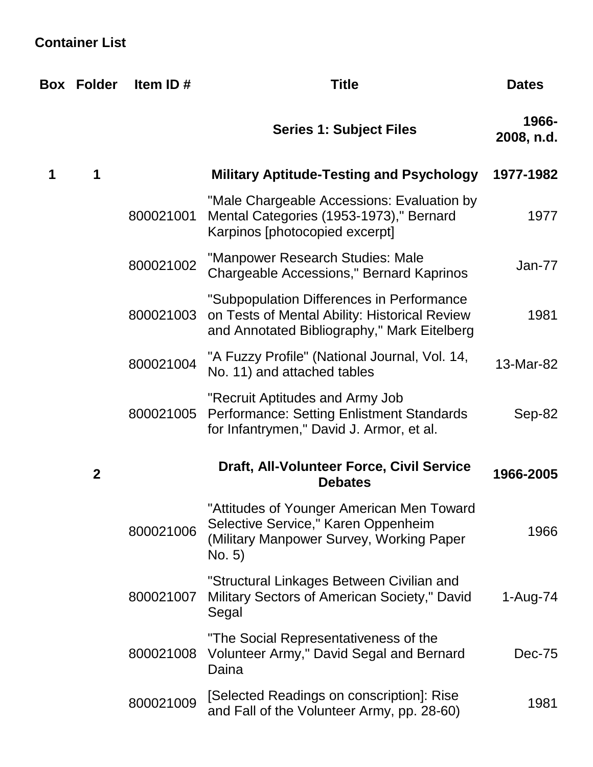# **Container List**

|   | <b>Box Folder</b> | Item ID#  | <b>Title</b>                                                                                                                              | <b>Dates</b>        |
|---|-------------------|-----------|-------------------------------------------------------------------------------------------------------------------------------------------|---------------------|
|   |                   |           | <b>Series 1: Subject Files</b>                                                                                                            | 1966-<br>2008, n.d. |
| 1 | 1                 |           | <b>Military Aptitude-Testing and Psychology</b>                                                                                           | 1977-1982           |
|   |                   | 800021001 | "Male Chargeable Accessions: Evaluation by<br>Mental Categories (1953-1973)," Bernard<br>Karpinos [photocopied excerpt]                   | 1977                |
|   |                   | 800021002 | "Manpower Research Studies: Male<br><b>Chargeable Accessions," Bernard Kaprinos</b>                                                       | <b>Jan-77</b>       |
|   |                   | 800021003 | "Subpopulation Differences in Performance<br>on Tests of Mental Ability: Historical Review<br>and Annotated Bibliography," Mark Eitelberg | 1981                |
|   |                   | 800021004 | "A Fuzzy Profile" (National Journal, Vol. 14,<br>No. 11) and attached tables                                                              | 13-Mar-82           |
|   |                   | 800021005 | "Recruit Aptitudes and Army Job<br>Performance: Setting Enlistment Standards<br>for Infantrymen," David J. Armor, et al.                  | Sep-82              |
|   | $\mathbf{2}$      |           | Draft, All-Volunteer Force, Civil Service<br><b>Debates</b>                                                                               | 1966-2005           |
|   |                   | 800021006 | "Attitudes of Younger American Men Toward<br>Selective Service," Karen Oppenheim<br>(Military Manpower Survey, Working Paper<br>No. 5)    | 1966                |
|   |                   | 800021007 | "Structural Linkages Between Civilian and<br>Military Sectors of American Society," David<br>Segal                                        | 1-Aug-74            |
|   |                   | 800021008 | "The Social Representativeness of the<br>Volunteer Army," David Segal and Bernard<br>Daina                                                | Dec-75              |
|   |                   | 800021009 | [Selected Readings on conscription]: Rise<br>and Fall of the Volunteer Army, pp. 28-60)                                                   | 1981                |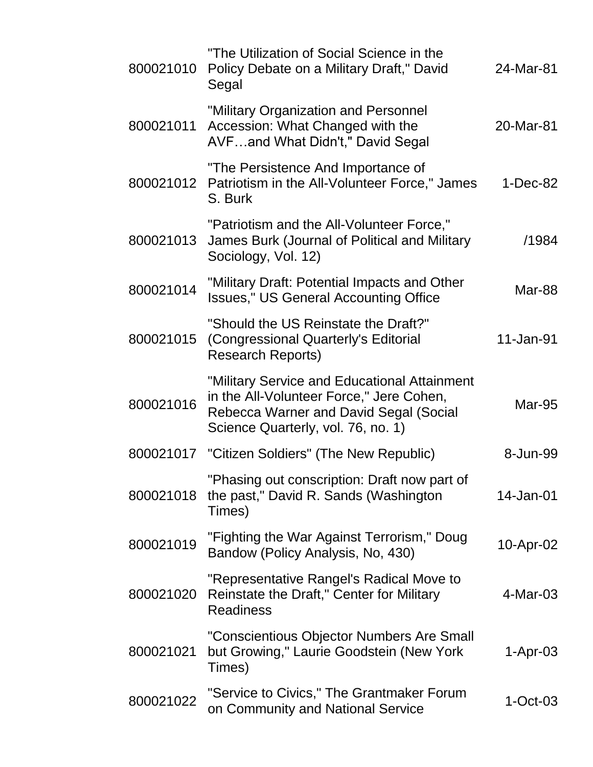| 800021010 | "The Utilization of Social Science in the<br>Policy Debate on a Military Draft," David<br>Segal                                                                          | 24-Mar-81     |
|-----------|--------------------------------------------------------------------------------------------------------------------------------------------------------------------------|---------------|
| 800021011 | "Military Organization and Personnel<br>Accession: What Changed with the<br>AVFand What Didn't," David Segal                                                             | 20-Mar-81     |
| 800021012 | "The Persistence And Importance of<br>Patriotism in the All-Volunteer Force," James<br>S. Burk                                                                           | $1-Dec-82$    |
| 800021013 | "Patriotism and the All-Volunteer Force,"<br>James Burk (Journal of Political and Military<br>Sociology, Vol. 12)                                                        | /1984         |
| 800021014 | "Military Draft: Potential Impacts and Other<br><b>Issues," US General Accounting Office</b>                                                                             | Mar-88        |
| 800021015 | "Should the US Reinstate the Draft?"<br>(Congressional Quarterly's Editorial<br><b>Research Reports)</b>                                                                 | 11-Jan-91     |
| 800021016 | "Military Service and Educational Attainment<br>in the All-Volunteer Force," Jere Cohen,<br>Rebecca Warner and David Segal (Social<br>Science Quarterly, vol. 76, no. 1) | <b>Mar-95</b> |
| 800021017 | "Citizen Soldiers" (The New Republic)                                                                                                                                    | 8-Jun-99      |
| 800021018 | "Phasing out conscription: Draft now part of<br>the past," David R. Sands (Washington<br>Times)                                                                          | 14-Jan-01     |
| 800021019 | "Fighting the War Against Terrorism," Doug<br>Bandow (Policy Analysis, No, 430)                                                                                          | 10-Apr-02     |
| 800021020 | "Representative Rangel's Radical Move to<br>Reinstate the Draft," Center for Military<br><b>Readiness</b>                                                                | $4-Mar-03$    |
| 800021021 | "Conscientious Objector Numbers Are Small<br>but Growing," Laurie Goodstein (New York<br>Times)                                                                          | $1-Apr-03$    |
| 800021022 | "Service to Civics," The Grantmaker Forum<br>on Community and National Service                                                                                           | $1-Oct-03$    |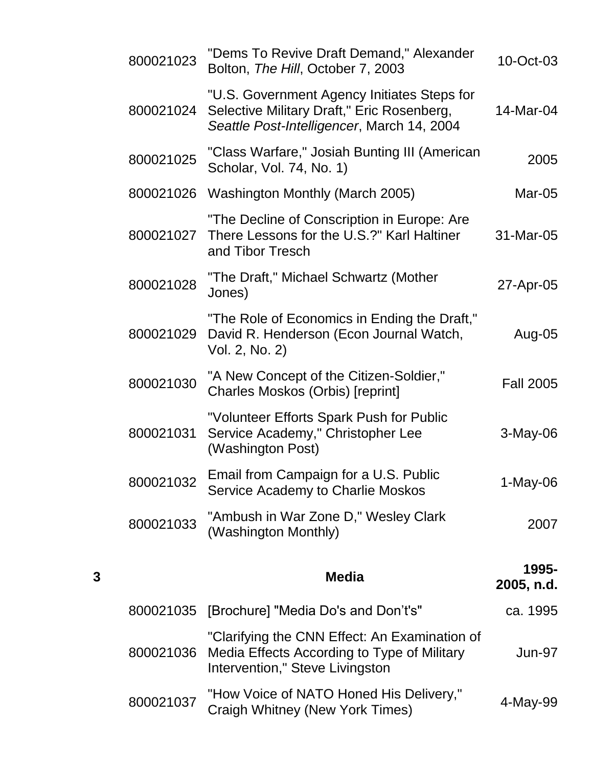|   | 800021023 | "Dems To Revive Draft Demand," Alexander<br>Bolton, The Hill, October 7, 2003                                                           | 10-Oct-03           |
|---|-----------|-----------------------------------------------------------------------------------------------------------------------------------------|---------------------|
|   | 800021024 | "U.S. Government Agency Initiates Steps for<br>Selective Military Draft," Eric Rosenberg,<br>Seattle Post-Intelligencer, March 14, 2004 | 14-Mar-04           |
|   | 800021025 | "Class Warfare," Josiah Bunting III (American<br>Scholar, Vol. 74, No. 1)                                                               | 2005                |
|   |           | 800021026 Washington Monthly (March 2005)                                                                                               | Mar-05              |
|   | 800021027 | "The Decline of Conscription in Europe: Are<br>There Lessons for the U.S.?" Karl Haltiner<br>and Tibor Tresch                           | 31-Mar-05           |
|   | 800021028 | "The Draft," Michael Schwartz (Mother<br>Jones)                                                                                         | 27-Apr-05           |
|   | 800021029 | "The Role of Economics in Ending the Draft,"<br>David R. Henderson (Econ Journal Watch,<br>Vol. 2, No. 2)                               | Aug-05              |
|   | 800021030 | "A New Concept of the Citizen-Soldier,"<br><b>Charles Moskos (Orbis) [reprint]</b>                                                      | <b>Fall 2005</b>    |
|   | 800021031 | "Volunteer Efforts Spark Push for Public<br>Service Academy," Christopher Lee<br>(Washington Post)                                      | 3-May-06            |
|   | 800021032 | Email from Campaign for a U.S. Public<br>Service Academy to Charlie Moskos                                                              | $1-May-06$          |
|   | 800021033 | "Ambush in War Zone D," Wesley Clark<br>(Washington Monthly)                                                                            | 2007                |
| 3 |           | <b>Media</b>                                                                                                                            | 1995-<br>2005, n.d. |
|   | 800021035 | [Brochure] "Media Do's and Don't's"                                                                                                     | ca. 1995            |
|   | 800021036 | "Clarifying the CNN Effect: An Examination of<br>Media Effects According to Type of Military<br>Intervention," Steve Livingston         | <b>Jun-97</b>       |
|   | 800021037 | "How Voice of NATO Honed His Delivery,"<br>Craigh Whitney (New York Times)                                                              | 4-May-99            |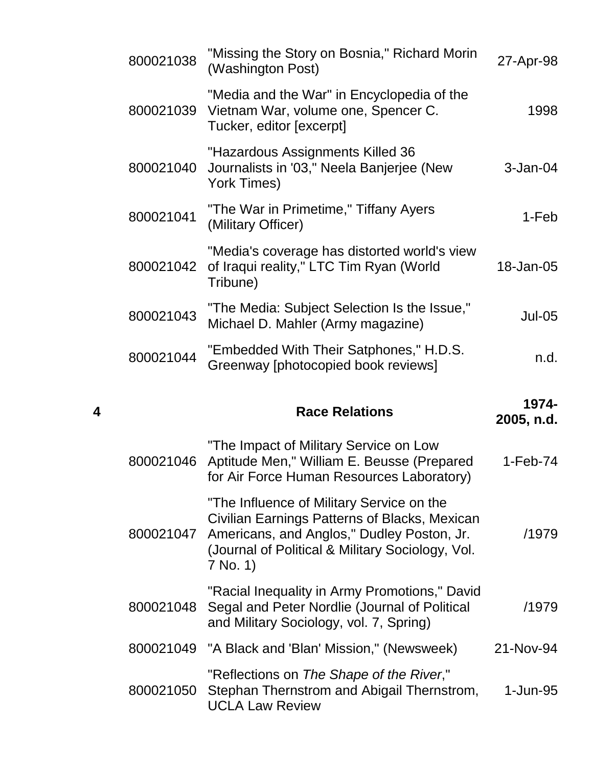| 27-Apr-98           | "Missing the Story on Bosnia," Richard Morin<br>(Washington Post)                                                                                                                                        | 800021038 |   |
|---------------------|----------------------------------------------------------------------------------------------------------------------------------------------------------------------------------------------------------|-----------|---|
| 1998                | "Media and the War" in Encyclopedia of the<br>Vietnam War, volume one, Spencer C.<br>Tucker, editor [excerpt]                                                                                            | 800021039 |   |
| $3-Jan-04$          | "Hazardous Assignments Killed 36<br>Journalists in '03," Neela Banjerjee (New<br>York Times)                                                                                                             | 800021040 |   |
| 1-Feb               | "The War in Primetime," Tiffany Ayers<br>(Military Officer)                                                                                                                                              | 800021041 |   |
| 18-Jan-05           | "Media's coverage has distorted world's view<br>of Iraqui reality," LTC Tim Ryan (World<br>Tribune)                                                                                                      | 800021042 |   |
| <b>Jul-05</b>       | "The Media: Subject Selection Is the Issue,"<br>Michael D. Mahler (Army magazine)                                                                                                                        | 800021043 |   |
| n.d.                | "Embedded With Their Satphones," H.D.S.<br>Greenway [photocopied book reviews]                                                                                                                           | 800021044 |   |
|                     |                                                                                                                                                                                                          |           |   |
| 1974-<br>2005, n.d. | <b>Race Relations</b>                                                                                                                                                                                    |           | 4 |
| $1-Feb-74$          | "The Impact of Military Service on Low<br>Aptitude Men," William E. Beusse (Prepared<br>for Air Force Human Resources Laboratory)                                                                        | 800021046 |   |
| /1979               | "The Influence of Military Service on the<br>Civilian Earnings Patterns of Blacks, Mexican<br>Americans, and Anglos," Dudley Poston, Jr.<br>(Journal of Political & Military Sociology, Vol.<br>7 No. 1) | 800021047 |   |
| /1979               | "Racial Inequality in Army Promotions," David<br>Segal and Peter Nordlie (Journal of Political<br>and Military Sociology, vol. 7, Spring)                                                                | 800021048 |   |
| 21-Nov-94           | "A Black and 'Blan' Mission," (Newsweek)                                                                                                                                                                 | 800021049 |   |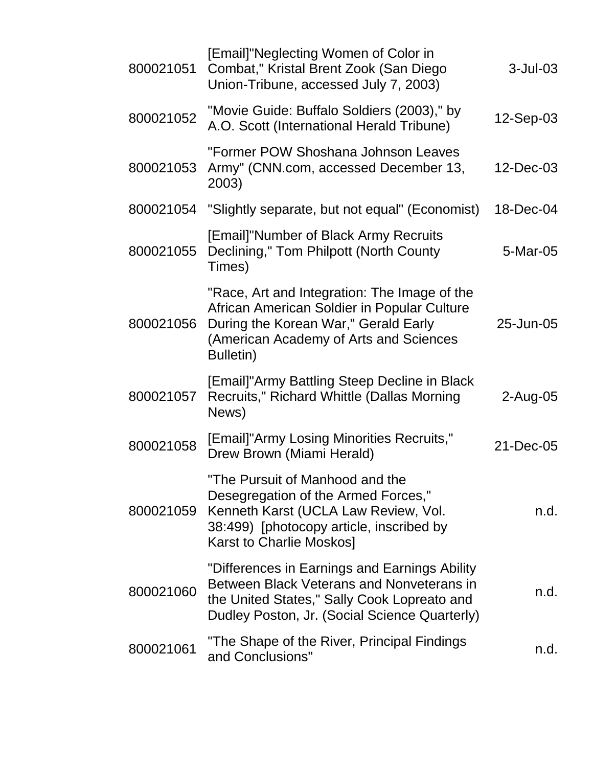| 800021051 | [Email]"Neglecting Women of Color in<br>Combat," Kristal Brent Zook (San Diego<br>Union-Tribune, accessed July 7, 2003)                                                                    | $3$ -Jul-03 |
|-----------|--------------------------------------------------------------------------------------------------------------------------------------------------------------------------------------------|-------------|
| 800021052 | "Movie Guide: Buffalo Soldiers (2003)," by<br>A.O. Scott (International Herald Tribune)                                                                                                    | 12-Sep-03   |
| 800021053 | "Former POW Shoshana Johnson Leaves<br>Army" (CNN.com, accessed December 13,<br>2003)                                                                                                      | 12-Dec-03   |
|           | 800021054 "Slightly separate, but not equal" (Economist)                                                                                                                                   | 18-Dec-04   |
| 800021055 | [Email]"Number of Black Army Recruits<br>Declining," Tom Philpott (North County<br>Times)                                                                                                  | 5-Mar-05    |
| 800021056 | "Race, Art and Integration: The Image of the<br>African American Soldier in Popular Culture<br>During the Korean War," Gerald Early<br>(American Academy of Arts and Sciences<br>Bulletin) | 25-Jun-05   |
| 800021057 | [Email]"Army Battling Steep Decline in Black<br>Recruits," Richard Whittle (Dallas Morning<br>News)                                                                                        | $2$ -Aug-05 |
| 800021058 | [Email]"Army Losing Minorities Recruits,"<br>Drew Brown (Miami Herald)                                                                                                                     | 21-Dec-05   |
| 800021059 | "The Pursuit of Manhood and the<br>Desegregation of the Armed Forces,"<br>Kenneth Karst (UCLA Law Review, Vol.<br>38:499) [photocopy article, inscribed by<br>Karst to Charlie Moskos]     | n.d.        |
| 800021060 | "Differences in Earnings and Earnings Ability<br>Between Black Veterans and Nonveterans in<br>the United States," Sally Cook Lopreato and<br>Dudley Poston, Jr. (Social Science Quarterly) | n.d.        |
| 800021061 | "The Shape of the River, Principal Findings<br>and Conclusions"                                                                                                                            | n.d.        |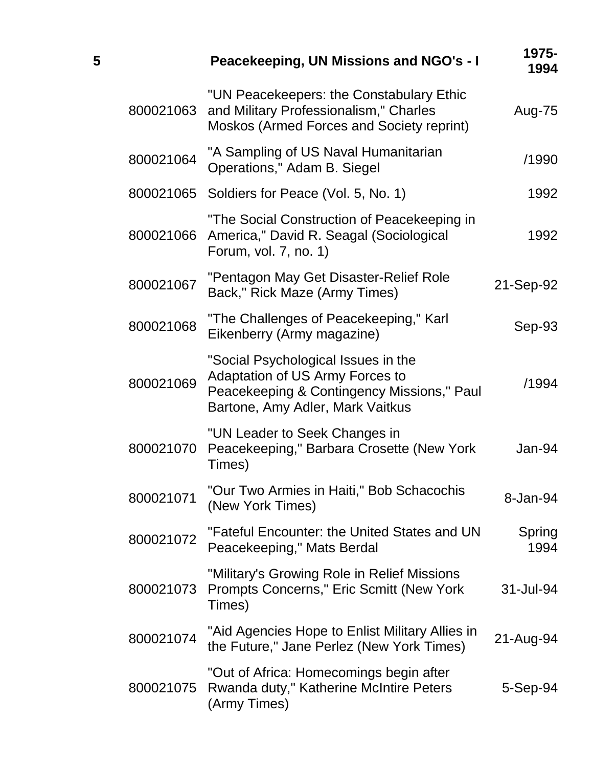| 5 |           | Peacekeeping, UN Missions and NGO's - I                                                                                                                  | 1975-<br>1994  |
|---|-----------|----------------------------------------------------------------------------------------------------------------------------------------------------------|----------------|
|   | 800021063 | "UN Peacekeepers: the Constabulary Ethic<br>and Military Professionalism," Charles<br>Moskos (Armed Forces and Society reprint)                          | Aug-75         |
|   | 800021064 | "A Sampling of US Naval Humanitarian<br>Operations," Adam B. Siegel                                                                                      | /1990          |
|   |           | 800021065 Soldiers for Peace (Vol. 5, No. 1)                                                                                                             | 1992           |
|   | 800021066 | "The Social Construction of Peacekeeping in<br>America," David R. Seagal (Sociological<br>Forum, vol. 7, no. 1)                                          | 1992           |
|   | 800021067 | "Pentagon May Get Disaster-Relief Role<br>Back," Rick Maze (Army Times)                                                                                  | 21-Sep-92      |
|   | 800021068 | "The Challenges of Peacekeeping," Karl<br>Eikenberry (Army magazine)                                                                                     | Sep-93         |
|   | 800021069 | "Social Psychological Issues in the<br>Adaptation of US Army Forces to<br>Peacekeeping & Contingency Missions," Paul<br>Bartone, Amy Adler, Mark Vaitkus | /1994          |
|   | 800021070 | "UN Leader to Seek Changes in<br>Peacekeeping," Barbara Crosette (New York<br>Times)                                                                     | Jan-94         |
|   | 800021071 | "Our Two Armies in Haiti," Bob Schacochis<br>(New York Times)                                                                                            | 8-Jan-94       |
|   | 800021072 | "Fateful Encounter: the United States and UN<br>Peacekeeping," Mats Berdal                                                                               | Spring<br>1994 |
|   | 800021073 | "Military's Growing Role in Relief Missions<br><b>Prompts Concerns," Eric Scmitt (New York</b><br>Times)                                                 | 31-Jul-94      |
|   | 800021074 | "Aid Agencies Hope to Enlist Military Allies in<br>the Future," Jane Perlez (New York Times)                                                             | 21-Aug-94      |
|   | 800021075 | "Out of Africa: Homecomings begin after<br>Rwanda duty," Katherine McIntire Peters<br>(Army Times)                                                       | 5-Sep-94       |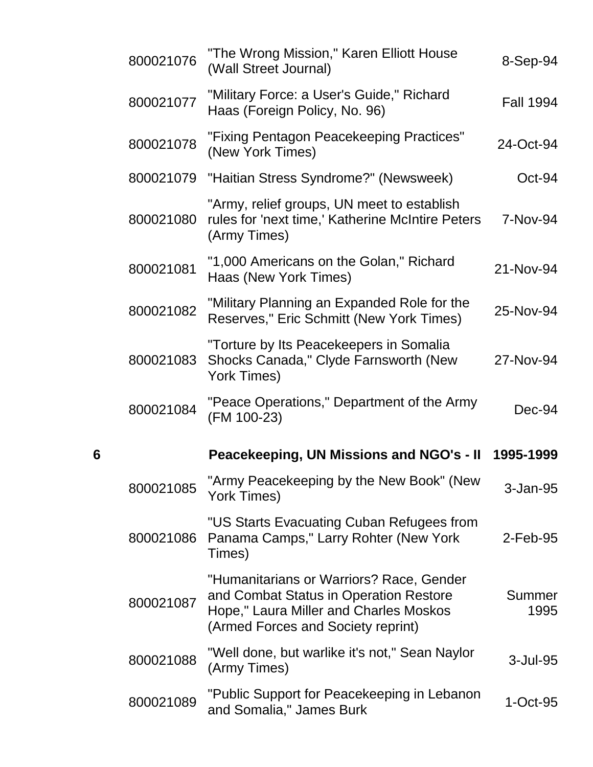|   | 800021076 | "The Wrong Mission," Karen Elliott House<br>(Wall Street Journal)                                                                                                  | 8-Sep-94         |
|---|-----------|--------------------------------------------------------------------------------------------------------------------------------------------------------------------|------------------|
|   | 800021077 | "Military Force: a User's Guide," Richard<br>Haas (Foreign Policy, No. 96)                                                                                         | <b>Fall 1994</b> |
|   | 800021078 | "Fixing Pentagon Peacekeeping Practices"<br>(New York Times)                                                                                                       | 24-Oct-94        |
|   | 800021079 | "Haitian Stress Syndrome?" (Newsweek)                                                                                                                              | $Oct-94$         |
|   | 800021080 | "Army, relief groups, UN meet to establish<br>rules for 'next time,' Katherine McIntire Peters<br>(Army Times)                                                     | 7-Nov-94         |
|   | 800021081 | "1,000 Americans on the Golan," Richard<br>Haas (New York Times)                                                                                                   | 21-Nov-94        |
|   | 800021082 | "Military Planning an Expanded Role for the<br>Reserves," Eric Schmitt (New York Times)                                                                            | 25-Nov-94        |
|   | 800021083 | "Torture by Its Peacekeepers in Somalia<br>Shocks Canada," Clyde Farnsworth (New<br>York Times)                                                                    | 27-Nov-94        |
|   |           |                                                                                                                                                                    |                  |
|   | 800021084 | "Peace Operations," Department of the Army<br>(FM 100-23)                                                                                                          | Dec-94           |
| 6 |           | Peacekeeping, UN Missions and NGO's - II                                                                                                                           | 1995-1999        |
|   | 800021085 | "Army Peacekeeping by the New Book" (New<br>York Times)                                                                                                            | 3-Jan-95         |
|   | 800021086 | "US Starts Evacuating Cuban Refugees from<br>Panama Camps," Larry Rohter (New York<br>Times)                                                                       | $2$ -Feb-95      |
|   | 800021087 | "Humanitarians or Warriors? Race, Gender<br>and Combat Status in Operation Restore<br>Hope," Laura Miller and Charles Moskos<br>(Armed Forces and Society reprint) | Summer<br>1995   |
|   | 800021088 | "Well done, but warlike it's not," Sean Naylor<br>(Army Times)                                                                                                     | 3-Jul-95         |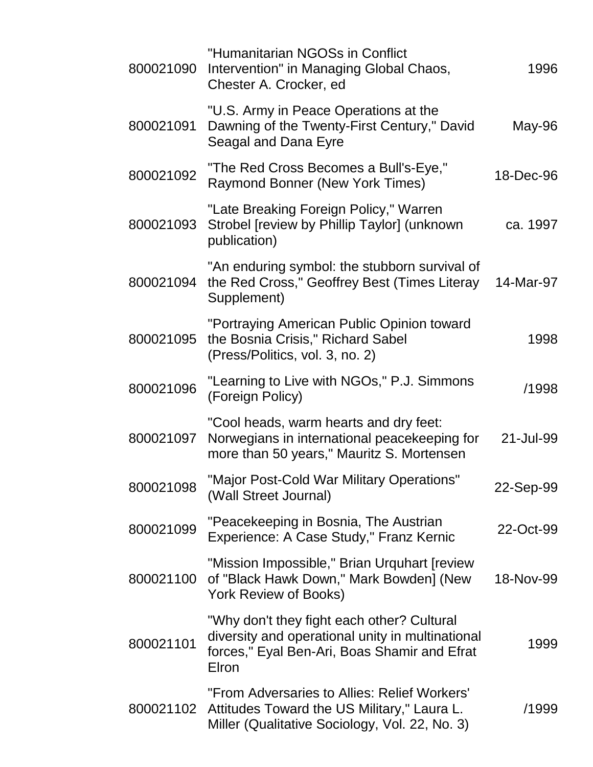| 800021090 | "Humanitarian NGOSs in Conflict<br>Intervention" in Managing Global Chaos,<br>Chester A. Crocker, ed                                                    | 1996      |
|-----------|---------------------------------------------------------------------------------------------------------------------------------------------------------|-----------|
| 800021091 | "U.S. Army in Peace Operations at the<br>Dawning of the Twenty-First Century," David<br>Seagal and Dana Eyre                                            | May-96    |
| 800021092 | "The Red Cross Becomes a Bull's-Eye,"<br><b>Raymond Bonner (New York Times)</b>                                                                         | 18-Dec-96 |
| 800021093 | "Late Breaking Foreign Policy," Warren<br>Strobel [review by Phillip Taylor] (unknown<br>publication)                                                   | ca. 1997  |
| 800021094 | "An enduring symbol: the stubborn survival of<br>the Red Cross," Geoffrey Best (Times Literay<br>Supplement)                                            | 14-Mar-97 |
| 800021095 | "Portraying American Public Opinion toward<br>the Bosnia Crisis," Richard Sabel<br>(Press/Politics, vol. 3, no. 2)                                      | 1998      |
| 800021096 | "Learning to Live with NGOs," P.J. Simmons<br>(Foreign Policy)                                                                                          | /1998     |
| 800021097 | "Cool heads, warm hearts and dry feet:<br>Norwegians in international peacekeeping for<br>more than 50 years," Mauritz S. Mortensen                     | 21-Jul-99 |
| 800021098 | "Major Post-Cold War Military Operations"<br>(Wall Street Journal)                                                                                      | 22-Sep-99 |
| 800021099 | "Peacekeeping in Bosnia, The Austrian<br>Experience: A Case Study," Franz Kernic                                                                        | 22-Oct-99 |
| 800021100 | "Mission Impossible," Brian Urquhart [review<br>of "Black Hawk Down," Mark Bowden] (New<br><b>York Review of Books)</b>                                 | 18-Nov-99 |
| 800021101 | "Why don't they fight each other? Cultural<br>diversity and operational unity in multinational<br>forces," Eyal Ben-Ari, Boas Shamir and Efrat<br>Elron | 1999      |
| 800021102 | "From Adversaries to Allies: Relief Workers'<br>Attitudes Toward the US Military," Laura L.<br>Miller (Qualitative Sociology, Vol. 22, No. 3)           | /1999     |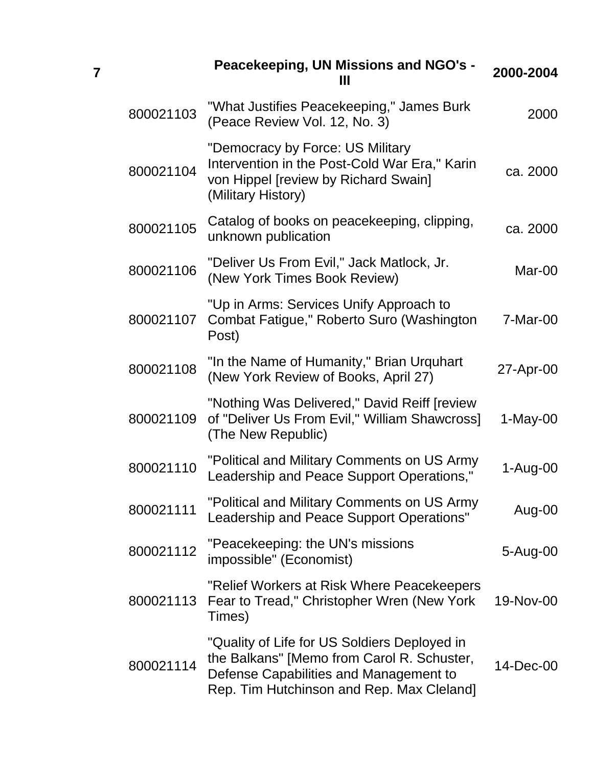|           | Peacekeeping, UN Missions and NGO's -<br>Ш                                                                                                                                        | 2000-2004  |
|-----------|-----------------------------------------------------------------------------------------------------------------------------------------------------------------------------------|------------|
| 800021103 | "What Justifies Peacekeeping," James Burk<br>(Peace Review Vol. 12, No. 3)                                                                                                        | 2000       |
| 800021104 | "Democracy by Force: US Military<br>Intervention in the Post-Cold War Era," Karin<br>von Hippel [review by Richard Swain]<br>(Military History)                                   | ca. 2000   |
| 800021105 | Catalog of books on peacekeeping, clipping,<br>unknown publication                                                                                                                | ca. 2000   |
| 800021106 | "Deliver Us From Evil," Jack Matlock, Jr.<br>(New York Times Book Review)                                                                                                         | Mar-00     |
| 800021107 | "Up in Arms: Services Unify Approach to<br>Combat Fatigue," Roberto Suro (Washington<br>Post)                                                                                     | $7-Mar-00$ |
| 800021108 | "In the Name of Humanity," Brian Urquhart<br>(New York Review of Books, April 27)                                                                                                 | 27-Apr-00  |
| 800021109 | "Nothing Was Delivered," David Reiff [review<br>of "Deliver Us From Evil," William Shawcross]<br>(The New Republic)                                                               | 1-May-00   |
| 800021110 | "Political and Military Comments on US Army<br>Leadership and Peace Support Operations,"                                                                                          | 1-Aug-00   |
| 800021111 | "Political and Military Comments on US Army<br>Leadership and Peace Support Operations"                                                                                           | Aug-00     |
| 800021112 | "Peacekeeping: the UN's missions<br>impossible" (Economist)                                                                                                                       | 5-Aug-00   |
| 800021113 | "Relief Workers at Risk Where Peacekeepers<br>Fear to Tread," Christopher Wren (New York<br>Times)                                                                                | 19-Nov-00  |
| 800021114 | "Quality of Life for US Soldiers Deployed in<br>the Balkans" [Memo from Carol R. Schuster,<br>Defense Capabilities and Management to<br>Rep. Tim Hutchinson and Rep. Max Cleland] | 14-Dec-00  |

**7**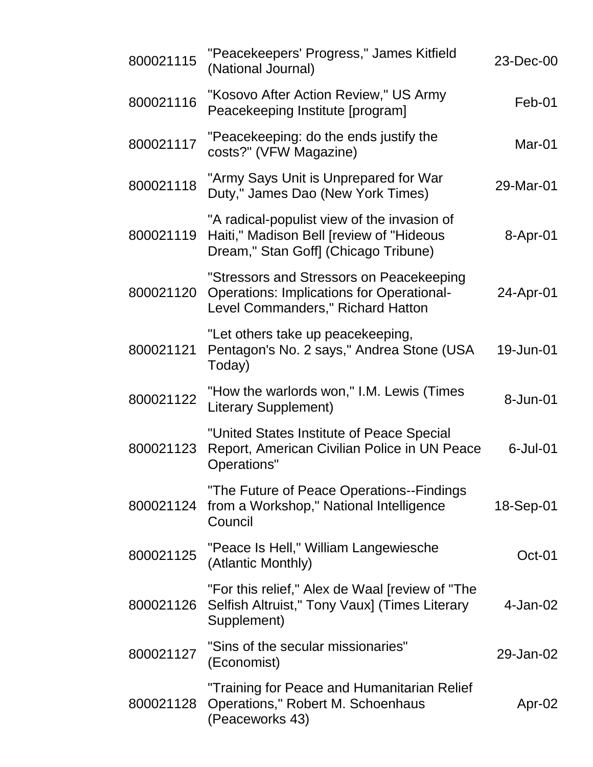| 800021115 | "Peacekeepers' Progress," James Kitfield<br>(National Journal)                                                                    | 23-Dec-00   |
|-----------|-----------------------------------------------------------------------------------------------------------------------------------|-------------|
| 800021116 | "Kosovo After Action Review," US Army<br>Peacekeeping Institute [program]                                                         | Feb-01      |
| 800021117 | "Peacekeeping: do the ends justify the<br>costs?" (VFW Magazine)                                                                  | Mar-01      |
| 800021118 | "Army Says Unit is Unprepared for War<br>Duty," James Dao (New York Times)                                                        | 29-Mar-01   |
| 800021119 | "A radical-populist view of the invasion of<br>Haiti," Madison Bell [review of "Hideous<br>Dream," Stan Goff] (Chicago Tribune)   | 8-Apr-01    |
| 800021120 | "Stressors and Stressors on Peacekeeping<br><b>Operations: Implications for Operational-</b><br>Level Commanders," Richard Hatton | 24-Apr-01   |
| 800021121 | "Let others take up peacekeeping,<br>Pentagon's No. 2 says," Andrea Stone (USA<br>Today)                                          | 19-Jun-01   |
| 800021122 | "How the warlords won," I.M. Lewis (Times<br><b>Literary Supplement)</b>                                                          | 8-Jun-01    |
| 800021123 | "United States Institute of Peace Special<br>Report, American Civilian Police in UN Peace<br>Operations"                          | $6$ -Jul-01 |
| 800021124 | "The Future of Peace Operations--Findings<br>from a Workshop," National Intelligence<br>Council                                   | 18-Sep-01   |
| 800021125 | "Peace Is Hell," William Langewiesche<br>(Atlantic Monthly)                                                                       | $Oct-01$    |
| 800021126 | "For this relief," Alex de Waal [review of "The<br>Selfish Altruist," Tony Vaux] (Times Literary<br>Supplement)                   | 4-Jan-02    |
| 800021127 | "Sins of the secular missionaries"<br>(Economist)                                                                                 | 29-Jan-02   |
| 800021128 | "Training for Peace and Humanitarian Relief<br>Operations," Robert M. Schoenhaus<br>(Peaceworks 43)                               | Apr-02      |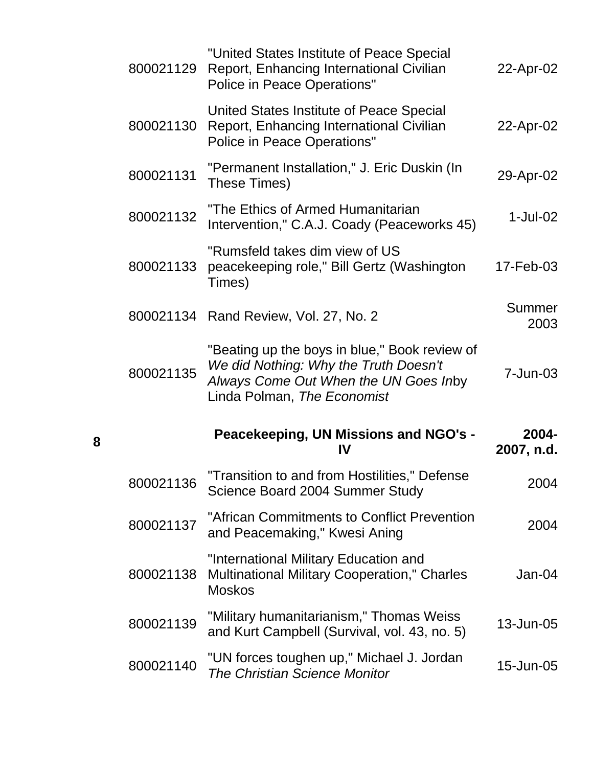| 800021129 | "United States Institute of Peace Special<br>Report, Enhancing International Civilian<br><b>Police in Peace Operations"</b> | 22-Apr-02           |
|-----------|-----------------------------------------------------------------------------------------------------------------------------|---------------------|
| 800021130 | United States Institute of Peace Special<br>Report, Enhancing International Civilian<br><b>Police in Peace Operations"</b>  | 22-Apr-02           |
| 800021131 | "Permanent Installation," J. Eric Duskin (In<br>These Times)                                                                | 29-Apr-02           |
| 800021132 | "The Ethics of Armed Humanitarian<br>Intervention," C.A.J. Coady (Peaceworks 45)                                            | $1$ -Jul-02         |
| 800021133 | "Rumsfeld takes dim view of US<br>peacekeeping role," Bill Gertz (Washington<br>Times)                                      | 17-Feb-03           |
|           | 800021134 Rand Review, Vol. 27, No. 2                                                                                       | Summer<br>2003      |
| 800021135 | "Beating up the boys in blue," Book review of<br>We did Nothing: Why the Truth Doesn't                                      | 7-Jun-03            |
|           | Always Come Out When the UN Goes Inby<br>Linda Polman, The Economist                                                        |                     |
|           | Peacekeeping, UN Missions and NGO's -<br>IV                                                                                 | 2004-<br>2007, n.d. |
| 800021136 | "Transition to and from Hostilities," Defense<br>Science Board 2004 Summer Study                                            | 2004                |
| 800021137 | "African Commitments to Conflict Prevention<br>and Peacemaking," Kwesi Aning                                                | 2004                |
| 800021138 | "International Military Education and<br><b>Multinational Military Cooperation," Charles</b><br><b>Moskos</b>               | Jan-04              |
| 800021139 | "Military humanitarianism," Thomas Weiss<br>and Kurt Campbell (Survival, vol. 43, no. 5)                                    | 13-Jun-05           |

**8**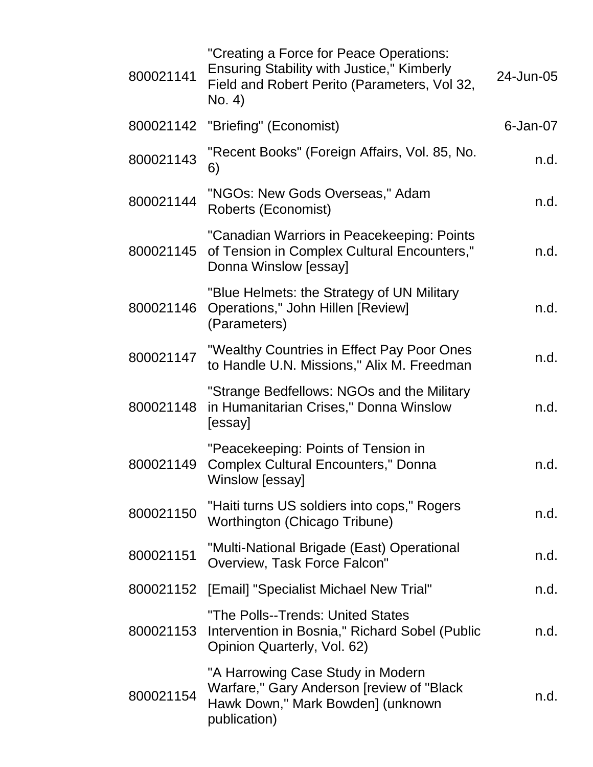| 800021141 | "Creating a Force for Peace Operations:<br><b>Ensuring Stability with Justice," Kimberly</b><br>Field and Robert Perito (Parameters, Vol 32,<br>No. 4) | 24-Jun-05   |
|-----------|--------------------------------------------------------------------------------------------------------------------------------------------------------|-------------|
| 800021142 | "Briefing" (Economist)                                                                                                                                 | $6$ -Jan-07 |
| 800021143 | "Recent Books" (Foreign Affairs, Vol. 85, No.<br>6)                                                                                                    | n.d.        |
| 800021144 | "NGOs: New Gods Overseas," Adam<br>Roberts (Economist)                                                                                                 | n.d.        |
| 800021145 | "Canadian Warriors in Peacekeeping: Points<br>of Tension in Complex Cultural Encounters,"<br>Donna Winslow [essay]                                     | n.d.        |
| 800021146 | "Blue Helmets: the Strategy of UN Military<br>Operations," John Hillen [Review]<br>(Parameters)                                                        | n.d.        |
| 800021147 | "Wealthy Countries in Effect Pay Poor Ones<br>to Handle U.N. Missions," Alix M. Freedman                                                               | n.d.        |
| 800021148 | "Strange Bedfellows: NGOs and the Military<br>in Humanitarian Crises," Donna Winslow<br>[essay]                                                        | n.d.        |
| 800021149 | "Peacekeeping: Points of Tension in<br><b>Complex Cultural Encounters," Donna</b><br>Winslow [essay]                                                   | n.d.        |
| 800021150 | "Haiti turns US soldiers into cops," Rogers<br>Worthington (Chicago Tribune)                                                                           | n.d.        |
| 800021151 | "Multi-National Brigade (East) Operational<br>Overview, Task Force Falcon"                                                                             | n.d.        |
|           | 800021152 [Email] "Specialist Michael New Trial"                                                                                                       | n.d.        |
| 800021153 | "The Polls--Trends: United States<br>Intervention in Bosnia," Richard Sobel (Public<br>Opinion Quarterly, Vol. 62)                                     | n.d.        |
| 800021154 | "A Harrowing Case Study in Modern<br>Warfare," Gary Anderson [review of "Black"<br>Hawk Down," Mark Bowden] (unknown<br>publication)                   | n.d.        |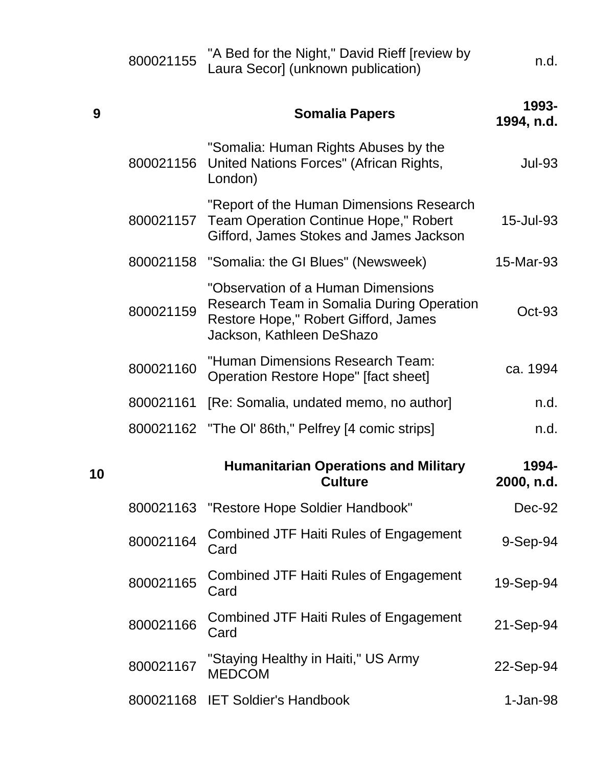|    | 800021155 | "A Bed for the Night," David Rieff [review by<br>Laura Secor] (unknown publication)                                                                  | n.d.                |
|----|-----------|------------------------------------------------------------------------------------------------------------------------------------------------------|---------------------|
| 9  |           | <b>Somalia Papers</b>                                                                                                                                | 1993-<br>1994, n.d. |
|    | 800021156 | "Somalia: Human Rights Abuses by the<br>United Nations Forces" (African Rights,<br>London)                                                           | <b>Jul-93</b>       |
|    | 800021157 | "Report of the Human Dimensions Research<br><b>Team Operation Continue Hope," Robert</b><br>Gifford, James Stokes and James Jackson                  | 15-Jul-93           |
|    |           | 800021158 "Somalia: the GI Blues" (Newsweek)                                                                                                         | 15-Mar-93           |
|    | 800021159 | "Observation of a Human Dimensions<br>Research Team in Somalia During Operation<br>Restore Hope," Robert Gifford, James<br>Jackson, Kathleen DeShazo | $Oct-93$            |
|    | 800021160 | "Human Dimensions Research Team:<br>Operation Restore Hope" [fact sheet]                                                                             | ca. 1994            |
|    | 800021161 | [Re: Somalia, undated memo, no author]                                                                                                               | n.d.                |
|    |           | 800021162 "The OI' 86th," Pelfrey [4 comic strips]                                                                                                   | n.d.                |
| 10 |           | <b>Humanitarian Operations and Military</b><br><b>Culture</b>                                                                                        | 1994-<br>2000, n.d. |
|    | 800021163 | "Restore Hope Soldier Handbook"                                                                                                                      | Dec-92              |
|    | 800021164 | <b>Combined JTF Haiti Rules of Engagement</b><br>Card                                                                                                | 9-Sep-94            |
|    | 800021165 | Combined JTF Haiti Rules of Engagement<br>Card                                                                                                       | 19-Sep-94           |
|    | 800021166 | <b>Combined JTF Haiti Rules of Engagement</b><br>Card                                                                                                | 21-Sep-94           |
|    | 800021167 | "Staying Healthy in Haiti," US Army<br><b>MEDCOM</b>                                                                                                 | 22-Sep-94           |
|    |           | 800021168 IET Soldier's Handbook                                                                                                                     | $1-Jan-98$          |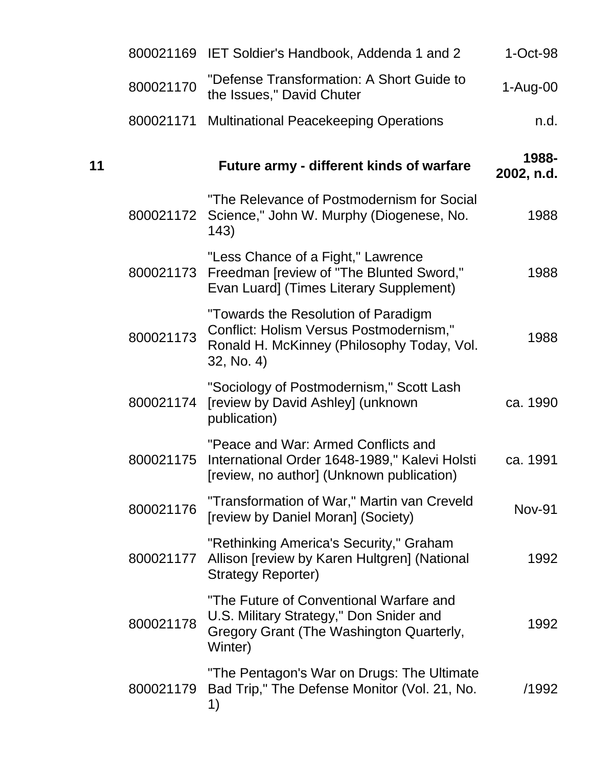|    |           | 800021169 IET Soldier's Handbook, Addenda 1 and 2                                                                                          | $1-Oct-98$          |
|----|-----------|--------------------------------------------------------------------------------------------------------------------------------------------|---------------------|
|    | 800021170 | "Defense Transformation: A Short Guide to<br>the Issues," David Chuter                                                                     | $1-Au$ g-00         |
|    | 800021171 | <b>Multinational Peacekeeping Operations</b>                                                                                               | n.d.                |
| 11 |           | <b>Future army - different kinds of warfare</b>                                                                                            | 1988-<br>2002, n.d. |
|    | 800021172 | "The Relevance of Postmodernism for Social<br>Science," John W. Murphy (Diogenese, No.<br>143)                                             | 1988                |
|    | 800021173 | "Less Chance of a Fight," Lawrence<br>Freedman [review of "The Blunted Sword,"<br>Evan Luard] (Times Literary Supplement)                  | 1988                |
|    | 800021173 | "Towards the Resolution of Paradigm<br>Conflict: Holism Versus Postmodernism,"<br>Ronald H. McKinney (Philosophy Today, Vol.<br>32, No. 4) | 1988                |
|    | 800021174 | "Sociology of Postmodernism," Scott Lash<br>[review by David Ashley] (unknown<br>publication)                                              | ca. 1990            |
|    | 800021175 | "Peace and War: Armed Conflicts and<br>International Order 1648-1989," Kalevi Holsti<br>[review, no author] (Unknown publication)          | ca. 1991            |
|    | 800021176 | "Transformation of War," Martin van Creveld<br>[review by Daniel Moran] (Society)                                                          | <b>Nov-91</b>       |
|    | 800021177 | "Rethinking America's Security," Graham<br>Allison [review by Karen Hultgren] (National<br><b>Strategy Reporter)</b>                       | 1992                |
|    | 800021178 | "The Future of Conventional Warfare and<br>U.S. Military Strategy," Don Snider and<br>Gregory Grant (The Washington Quarterly,<br>Winter)  | 1992                |
|    | 800021179 | "The Pentagon's War on Drugs: The Ultimate<br>Bad Trip," The Defense Monitor (Vol. 21, No.<br>1)                                           | /1992               |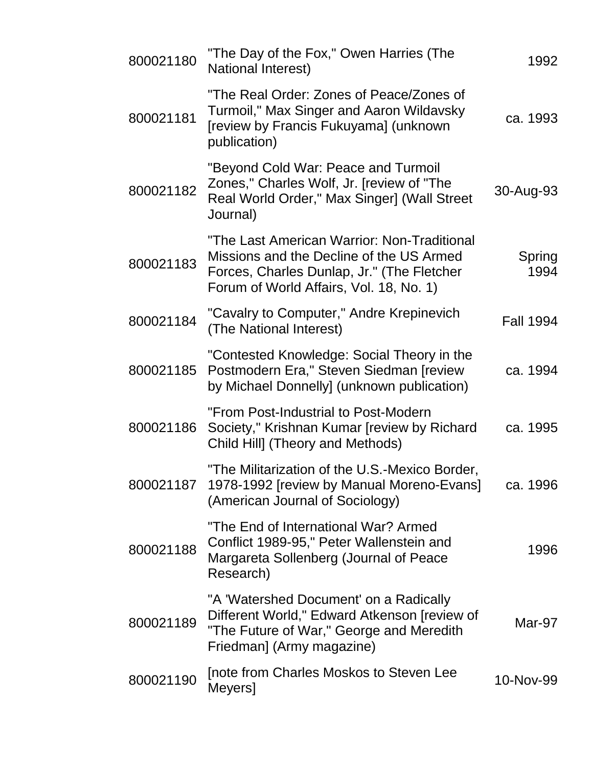| 800021180 | "The Day of the Fox," Owen Harries (The<br>National Interest)                                                                                                                    | 1992             |
|-----------|----------------------------------------------------------------------------------------------------------------------------------------------------------------------------------|------------------|
| 800021181 | "The Real Order: Zones of Peace/Zones of<br>Turmoil," Max Singer and Aaron Wildavsky<br>[review by Francis Fukuyama] (unknown<br>publication)                                    | ca. 1993         |
| 800021182 | "Beyond Cold War: Peace and Turmoil<br>Zones," Charles Wolf, Jr. [review of "The<br>Real World Order," Max Singer] (Wall Street<br>Journal)                                      | 30-Aug-93        |
| 800021183 | "The Last American Warrior: Non-Traditional<br>Missions and the Decline of the US Armed<br>Forces, Charles Dunlap, Jr." (The Fletcher<br>Forum of World Affairs, Vol. 18, No. 1) | Spring<br>1994   |
| 800021184 | "Cavalry to Computer," Andre Krepinevich<br>(The National Interest)                                                                                                              | <b>Fall 1994</b> |
| 800021185 | "Contested Knowledge: Social Theory in the<br>Postmodern Era," Steven Siedman [review]<br>by Michael Donnelly] (unknown publication)                                             | ca. 1994         |
| 800021186 | "From Post-Industrial to Post-Modern<br>Society," Krishnan Kumar [review by Richard<br>Child Hill] (Theory and Methods)                                                          | ca. 1995         |
| 800021187 | "The Militarization of the U.S.-Mexico Border,<br>1978-1992 [review by Manual Moreno-Evans]<br>(American Journal of Sociology)                                                   | ca. 1996         |
| 800021188 | "The End of International War? Armed<br>Conflict 1989-95," Peter Wallenstein and<br>Margareta Sollenberg (Journal of Peace<br>Research)                                          | 1996             |
| 800021189 | "A 'Watershed Document' on a Radically<br>Different World," Edward Atkenson [review of<br>"The Future of War," George and Meredith<br>Friedman] (Army magazine)                  | Mar-97           |
| 800021190 | Inote from Charles Moskos to Steven Lee<br>Meyers]                                                                                                                               | 10-Nov-99        |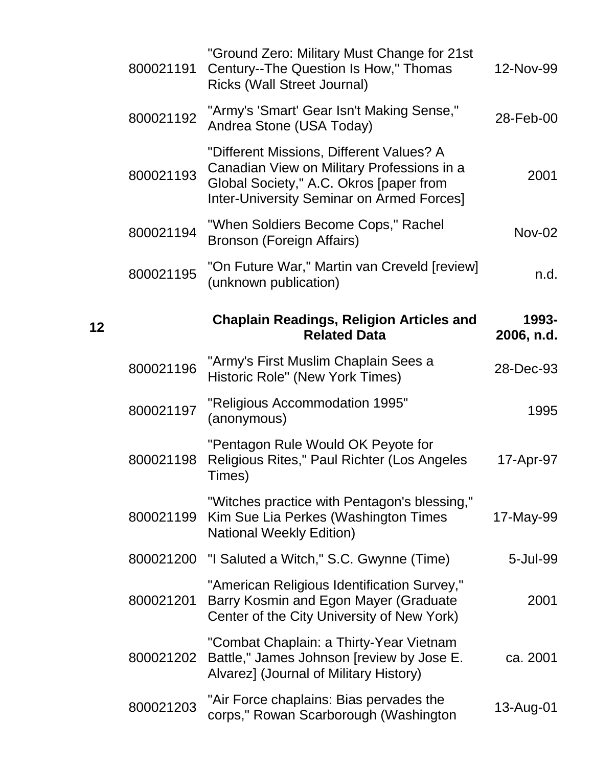| 12-Nov-99           | "Ground Zero: Military Must Change for 21st<br>Century--The Question Is How," Thomas<br><b>Ricks (Wall Street Journal)</b>                                                            | 800021191 |
|---------------------|---------------------------------------------------------------------------------------------------------------------------------------------------------------------------------------|-----------|
| 28-Feb-00           | "Army's 'Smart' Gear Isn't Making Sense,"<br>Andrea Stone (USA Today)                                                                                                                 | 800021192 |
| 2001                | "Different Missions, Different Values? A<br>Canadian View on Military Professions in a<br>Global Society," A.C. Okros [paper from<br><b>Inter-University Seminar on Armed Forces]</b> | 800021193 |
| <b>Nov-02</b>       | "When Soldiers Become Cops," Rachel<br>Bronson (Foreign Affairs)                                                                                                                      | 800021194 |
| n.d.                | "On Future War," Martin van Creveld [review]<br>(unknown publication)                                                                                                                 | 800021195 |
| 1993-<br>2006, n.d. | <b>Chaplain Readings, Religion Articles and</b><br><b>Related Data</b>                                                                                                                | 12        |
| 28-Dec-93           | "Army's First Muslim Chaplain Sees a<br>Historic Role" (New York Times)                                                                                                               | 800021196 |
| 1995                | "Religious Accommodation 1995"<br>(anonymous)                                                                                                                                         | 800021197 |
| 17-Apr-97           | "Pentagon Rule Would OK Peyote for<br>Religious Rites," Paul Richter (Los Angeles<br>Times)                                                                                           | 800021198 |
| 17-May-99           | "Witches practice with Pentagon's blessing,"<br>Kim Sue Lia Perkes (Washington Times<br><b>National Weekly Edition)</b>                                                               | 800021199 |
| 5-Jul-99            | "I Saluted a Witch," S.C. Gwynne (Time)                                                                                                                                               | 800021200 |
| 2001                | "American Religious Identification Survey,"<br>Barry Kosmin and Egon Mayer (Graduate<br>Center of the City University of New York)                                                    | 800021201 |
| ca. 2001            | "Combat Chaplain: a Thirty-Year Vietnam<br>Battle," James Johnson [review by Jose E.<br>Alvarez] (Journal of Military History)                                                        | 800021202 |
|                     | "Air Force chaplains: Bias pervades the                                                                                                                                               |           |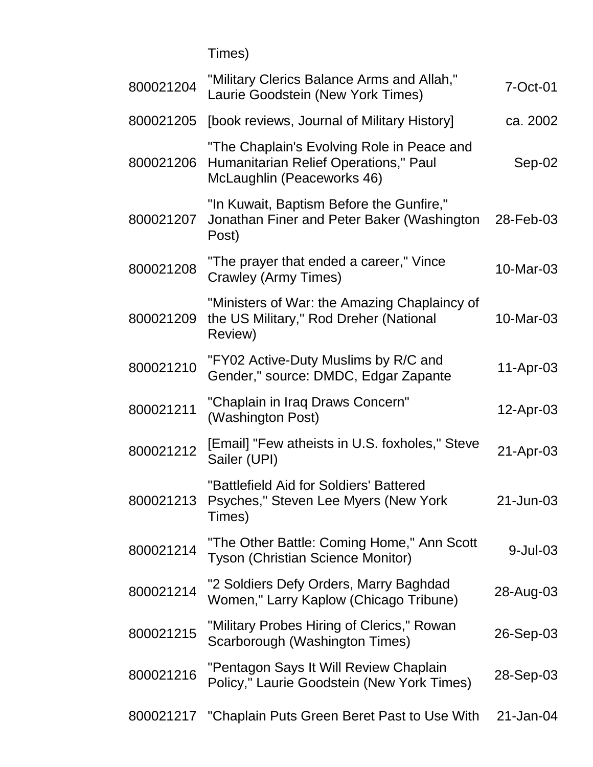Times)

| 800021204 | "Military Clerics Balance Arms and Allah,"<br>Laurie Goodstein (New York Times)                                   | 7-Oct-01  |
|-----------|-------------------------------------------------------------------------------------------------------------------|-----------|
| 800021205 | [book reviews, Journal of Military History]                                                                       | ca. 2002  |
| 800021206 | "The Chaplain's Evolving Role in Peace and<br>Humanitarian Relief Operations," Paul<br>McLaughlin (Peaceworks 46) | $Sep-02$  |
| 800021207 | "In Kuwait, Baptism Before the Gunfire,"<br>Jonathan Finer and Peter Baker (Washington<br>Post)                   | 28-Feb-03 |
| 800021208 | "The prayer that ended a career," Vince<br>Crawley (Army Times)                                                   | 10-Mar-03 |
| 800021209 | "Ministers of War: the Amazing Chaplaincy of<br>the US Military," Rod Dreher (National<br>Review)                 | 10-Mar-03 |
| 800021210 | "FY02 Active-Duty Muslims by R/C and<br>Gender," source: DMDC, Edgar Zapante                                      | 11-Apr-03 |
| 800021211 | "Chaplain in Iraq Draws Concern"<br>(Washington Post)                                                             | 12-Apr-03 |
| 800021212 | [Email] "Few atheists in U.S. foxholes," Steve<br>Sailer (UPI)                                                    | 21-Apr-03 |
| 800021213 | "Battlefield Aid for Soldiers' Battered<br>Psyches," Steven Lee Myers (New York<br>Times)                         | 21-Jun-03 |
| 800021214 | "The Other Battle: Coming Home," Ann Scott<br><b>Tyson (Christian Science Monitor)</b>                            | 9-Jul-03  |
| 800021214 | "2 Soldiers Defy Orders, Marry Baghdad<br>Women," Larry Kaplow (Chicago Tribune)                                  | 28-Aug-03 |
| 800021215 | "Military Probes Hiring of Clerics," Rowan<br>Scarborough (Washington Times)                                      | 26-Sep-03 |
| 800021216 | "Pentagon Says It Will Review Chaplain<br>Policy," Laurie Goodstein (New York Times)                              | 28-Sep-03 |
|           | 800021217 "Chaplain Puts Green Beret Past to Use With                                                             | 21-Jan-04 |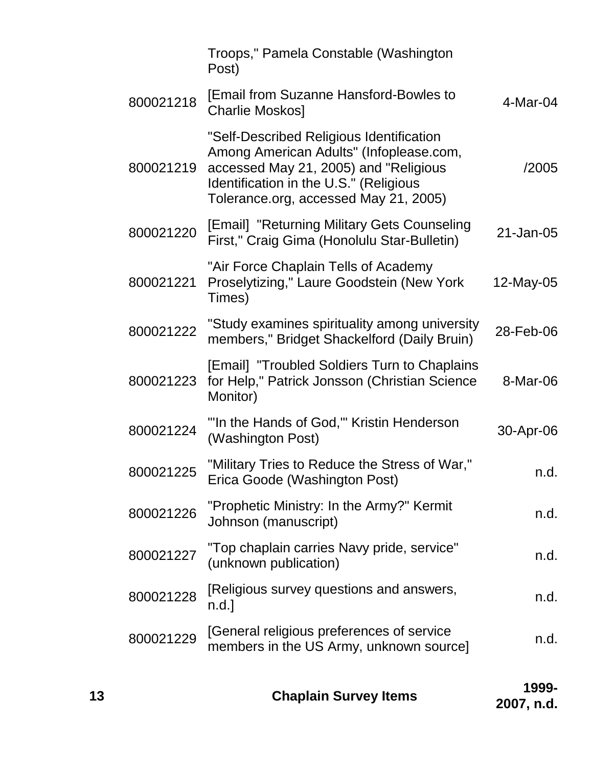|           | Troops," Pamela Constable (Washington<br>Post)                                                                                                                                                                  |           |
|-----------|-----------------------------------------------------------------------------------------------------------------------------------------------------------------------------------------------------------------|-----------|
| 800021218 | <b>[Email from Suzanne Hansford-Bowles to</b><br><b>Charlie Moskos]</b>                                                                                                                                         | 4-Mar-04  |
| 800021219 | "Self-Described Religious Identification<br>Among American Adults" (Infoplease.com,<br>accessed May 21, 2005) and "Religious<br>Identification in the U.S." (Religious<br>Tolerance.org, accessed May 21, 2005) | /2005     |
| 800021220 | [Email] "Returning Military Gets Counseling<br>First," Craig Gima (Honolulu Star-Bulletin)                                                                                                                      | 21-Jan-05 |
| 800021221 | "Air Force Chaplain Tells of Academy<br>Proselytizing," Laure Goodstein (New York<br>Times)                                                                                                                     | 12-May-05 |
| 800021222 | "Study examines spirituality among university<br>members," Bridget Shackelford (Daily Bruin)                                                                                                                    | 28-Feb-06 |
| 800021223 | [Email] "Troubled Soldiers Turn to Chaplains<br>for Help," Patrick Jonsson (Christian Science<br>Monitor)                                                                                                       | 8-Mar-06  |
| 800021224 | "In the Hands of God," Kristin Henderson<br>(Washington Post)                                                                                                                                                   | 30-Apr-06 |
| 800021225 | "Military Tries to Reduce the Stress of War,"<br>Erica Goode (Washington Post)                                                                                                                                  | n.d.      |
| 800021226 | "Prophetic Ministry: In the Army?" Kermit<br>Johnson (manuscript)                                                                                                                                               | n.d.      |
| 800021227 | "Top chaplain carries Navy pride, service"<br>(unknown publication)                                                                                                                                             | n.d.      |
| 800021228 | [Religious survey questions and answers,<br>n.d.                                                                                                                                                                | n.d.      |
| 800021229 | [General religious preferences of service]<br>members in the US Army, unknown source]                                                                                                                           | n.d.      |
|           |                                                                                                                                                                                                                 | 1000      |

| 13 |                              | 1999-      |
|----|------------------------------|------------|
|    | <b>Chaplain Survey Items</b> | 2007, n.d. |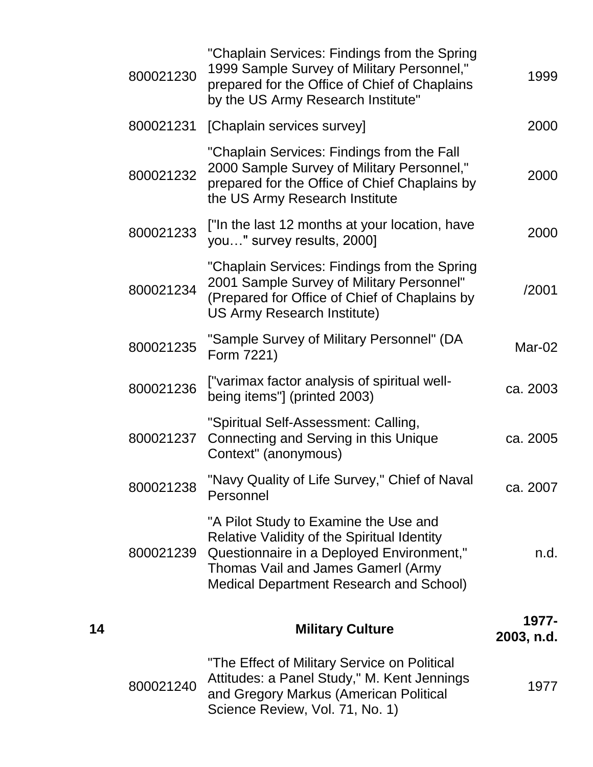| 800021230 | "Chaplain Services: Findings from the Spring<br>1999 Sample Survey of Military Personnel,"<br>prepared for the Office of Chief of Chaplains<br>by the US Army Research Institute"                                         | 1999                |
|-----------|---------------------------------------------------------------------------------------------------------------------------------------------------------------------------------------------------------------------------|---------------------|
| 800021231 | [Chaplain services survey]                                                                                                                                                                                                | 2000                |
| 800021232 | "Chaplain Services: Findings from the Fall<br>2000 Sample Survey of Military Personnel,"<br>prepared for the Office of Chief Chaplains by<br>the US Army Research Institute                                               | 2000                |
| 800021233 | ["In the last 12 months at your location, have<br>you" survey results, 2000]                                                                                                                                              | 2000                |
| 800021234 | "Chaplain Services: Findings from the Spring<br>2001 Sample Survey of Military Personnel"<br>(Prepared for Office of Chief of Chaplains by<br>US Army Research Institute)                                                 | /2001               |
| 800021235 | "Sample Survey of Military Personnel" (DA<br>Form 7221)                                                                                                                                                                   | Mar-02              |
| 800021236 | ["varimax factor analysis of spiritual well-<br>being items"] (printed 2003)                                                                                                                                              | ca. 2003            |
| 800021237 | "Spiritual Self-Assessment: Calling,<br>Connecting and Serving in this Unique<br>Context" (anonymous)                                                                                                                     | ca. 2005            |
| 800021238 | "Navy Quality of Life Survey," Chief of Naval<br>Personnel                                                                                                                                                                | ca. 2007            |
| 800021239 | "A Pilot Study to Examine the Use and<br>Relative Validity of the Spiritual Identity<br>Questionnaire in a Deployed Environment,"<br>Thomas Vail and James Gamerl (Army<br><b>Medical Department Research and School)</b> | n.d.                |
| 14        | <b>Military Culture</b>                                                                                                                                                                                                   | 1977-<br>2003, n.d. |
| 800021240 | "The Effect of Military Service on Political<br>Attitudes: a Panel Study," M. Kent Jennings<br>and Gregory Markus (American Political<br>Science Review, Vol. 71, No. 1)                                                  | 1977                |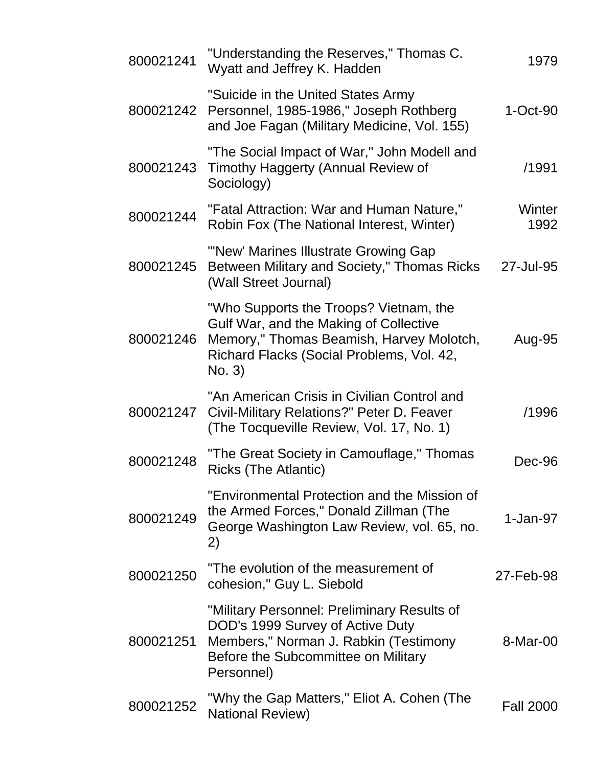| 800021241 | "Understanding the Reserves," Thomas C.<br>Wyatt and Jeffrey K. Hadden                                                                                                              | 1979             |
|-----------|-------------------------------------------------------------------------------------------------------------------------------------------------------------------------------------|------------------|
| 800021242 | "Suicide in the United States Army<br>Personnel, 1985-1986," Joseph Rothberg<br>and Joe Fagan (Military Medicine, Vol. 155)                                                         | $1-Oct-90$       |
| 800021243 | "The Social Impact of War," John Modell and<br>Timothy Haggerty (Annual Review of<br>Sociology)                                                                                     | /1991            |
| 800021244 | "Fatal Attraction: War and Human Nature,"<br>Robin Fox (The National Interest, Winter)                                                                                              | Winter<br>1992   |
| 800021245 | "'New' Marines Illustrate Growing Gap<br>Between Military and Society," Thomas Ricks<br>(Wall Street Journal)                                                                       | 27-Jul-95        |
| 800021246 | "Who Supports the Troops? Vietnam, the<br>Gulf War, and the Making of Collective<br>Memory," Thomas Beamish, Harvey Molotch,<br>Richard Flacks (Social Problems, Vol. 42,<br>No. 3) | Aug-95           |
| 800021247 | "An American Crisis in Civilian Control and<br>Civil-Military Relations?" Peter D. Feaver<br>(The Tocqueville Review, Vol. 17, No. 1)                                               | /1996            |
| 800021248 | "The Great Society in Camouflage," Thomas<br><b>Ricks (The Atlantic)</b>                                                                                                            | Dec-96           |
| 800021249 | "Environmental Protection and the Mission of<br>the Armed Forces," Donald Zillman (The<br>George Washington Law Review, vol. 65, no.<br>2)                                          | $1-Jan-97$       |
| 800021250 | "The evolution of the measurement of<br>cohesion," Guy L. Siebold                                                                                                                   | 27-Feb-98        |
| 800021251 | "Military Personnel: Preliminary Results of<br>DOD's 1999 Survey of Active Duty<br>Members," Norman J. Rabkin (Testimony<br>Before the Subcommittee on Military<br>Personnel)       | 8-Mar-00         |
| 800021252 | "Why the Gap Matters," Eliot A. Cohen (The<br><b>National Review)</b>                                                                                                               | <b>Fall 2000</b> |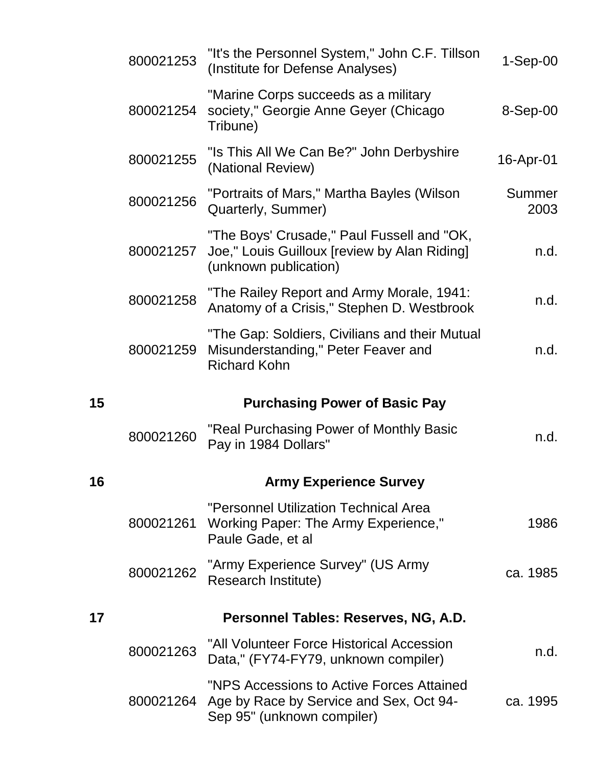|    | 800021253 | "It's the Personnel System," John C.F. Tillson<br>(Institute for Defense Analyses)                                  | $1-Sep-00$     |
|----|-----------|---------------------------------------------------------------------------------------------------------------------|----------------|
|    | 800021254 | "Marine Corps succeeds as a military<br>society," Georgie Anne Geyer (Chicago<br>Tribune)                           | $8-Sep-00$     |
|    | 800021255 | "Is This All We Can Be?" John Derbyshire<br>(National Review)                                                       | 16-Apr-01      |
|    | 800021256 | "Portraits of Mars," Martha Bayles (Wilson<br>Quarterly, Summer)                                                    | Summer<br>2003 |
|    | 800021257 | "The Boys' Crusade," Paul Fussell and "OK,<br>Joe," Louis Guilloux [review by Alan Riding]<br>(unknown publication) | n.d.           |
|    | 800021258 | "The Railey Report and Army Morale, 1941:<br>Anatomy of a Crisis," Stephen D. Westbrook                             | n.d.           |
|    | 800021259 | "The Gap: Soldiers, Civilians and their Mutual<br>Misunderstanding," Peter Feaver and<br><b>Richard Kohn</b>        | n.d.           |
| 15 |           | <b>Purchasing Power of Basic Pay</b>                                                                                |                |
|    |           |                                                                                                                     |                |
|    | 800021260 | "Real Purchasing Power of Monthly Basic<br>Pay in 1984 Dollars"                                                     | n.d.           |
| 16 |           | <b>Army Experience Survey</b>                                                                                       |                |
|    | 800021261 | "Personnel Utilization Technical Area<br>Working Paper: The Army Experience,"<br>Paule Gade, et al                  | 1986           |
|    | 800021262 | "Army Experience Survey" (US Army<br>Research Institute)                                                            | ca. 1985       |
| 17 |           | Personnel Tables: Reserves, NG, A.D.                                                                                |                |
|    | 800021263 | "All Volunteer Force Historical Accession<br>Data," (FY74-FY79, unknown compiler)                                   | n.d.           |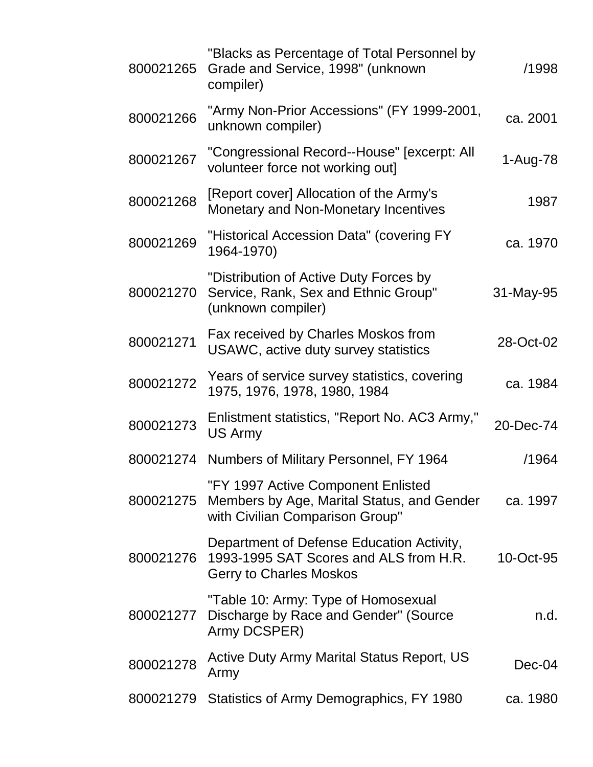| 800021265 | "Blacks as Percentage of Total Personnel by<br>Grade and Service, 1998" (unknown<br>compiler)                         | /1998     |
|-----------|-----------------------------------------------------------------------------------------------------------------------|-----------|
| 800021266 | "Army Non-Prior Accessions" (FY 1999-2001,<br>unknown compiler)                                                       | ca. 2001  |
| 800021267 | "Congressional Record--House" [excerpt: All<br>volunteer force not working out]                                       | 1-Aug-78  |
| 800021268 | [Report cover] Allocation of the Army's<br>Monetary and Non-Monetary Incentives                                       | 1987      |
| 800021269 | "Historical Accession Data" (covering FY<br>1964-1970)                                                                | ca. 1970  |
| 800021270 | "Distribution of Active Duty Forces by<br>Service, Rank, Sex and Ethnic Group"<br>(unknown compiler)                  | 31-May-95 |
| 800021271 | Fax received by Charles Moskos from<br>USAWC, active duty survey statistics                                           | 28-Oct-02 |
| 800021272 | Years of service survey statistics, covering<br>1975, 1976, 1978, 1980, 1984                                          | ca. 1984  |
| 800021273 | Enlistment statistics, "Report No. AC3 Army,"<br>US Army                                                              | 20-Dec-74 |
| 800021274 | Numbers of Military Personnel, FY 1964                                                                                | /1964     |
| 800021275 | "FY 1997 Active Component Enlisted<br>Members by Age, Marital Status, and Gender<br>with Civilian Comparison Group"   | ca. 1997  |
| 800021276 | Department of Defense Education Activity,<br>1993-1995 SAT Scores and ALS from H.R.<br><b>Gerry to Charles Moskos</b> | 10-Oct-95 |
| 800021277 | "Table 10: Army: Type of Homosexual<br>Discharge by Race and Gender" (Source<br>Army DCSPER)                          | n.d.      |
| 800021278 | <b>Active Duty Army Marital Status Report, US</b><br>Army                                                             | Dec-04    |
| 800021279 | Statistics of Army Demographics, FY 1980                                                                              | ca. 1980  |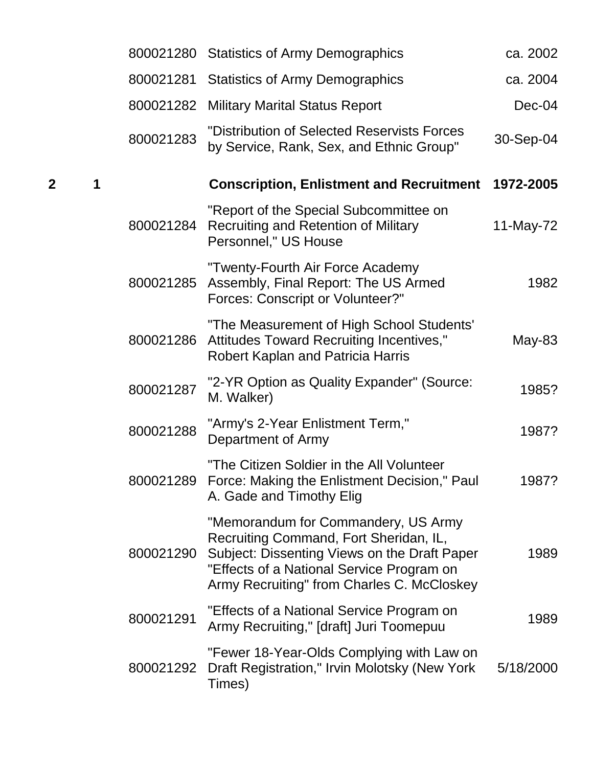|                     |           | 800021280 Statistics of Army Demographics                                                                                                                                                                                | ca. 2002  |
|---------------------|-----------|--------------------------------------------------------------------------------------------------------------------------------------------------------------------------------------------------------------------------|-----------|
|                     | 800021281 | <b>Statistics of Army Demographics</b>                                                                                                                                                                                   | ca. 2004  |
|                     | 800021282 | <b>Military Marital Status Report</b>                                                                                                                                                                                    | $Dec-04$  |
|                     | 800021283 | "Distribution of Selected Reservists Forces<br>by Service, Rank, Sex, and Ethnic Group"                                                                                                                                  | 30-Sep-04 |
| $\overline{2}$<br>1 |           | <b>Conscription, Enlistment and Recruitment 1972-2005</b>                                                                                                                                                                |           |
|                     | 800021284 | "Report of the Special Subcommittee on<br>Recruiting and Retention of Military<br>Personnel," US House                                                                                                                   | 11-May-72 |
|                     | 800021285 | "Twenty-Fourth Air Force Academy<br>Assembly, Final Report: The US Armed<br><b>Forces: Conscript or Volunteer?"</b>                                                                                                      | 1982      |
|                     | 800021286 | "The Measurement of High School Students'<br>Attitudes Toward Recruiting Incentives,"<br><b>Robert Kaplan and Patricia Harris</b>                                                                                        | $May-83$  |
|                     | 800021287 | "2-YR Option as Quality Expander" (Source:<br>M. Walker)                                                                                                                                                                 | 1985?     |
|                     | 800021288 | "Army's 2-Year Enlistment Term,"<br>Department of Army                                                                                                                                                                   | 1987?     |
|                     |           | "The Citizen Soldier in the All Volunteer<br>800021289 Force: Making the Enlistment Decision," Paul<br>A. Gade and Timothy Elig                                                                                          | 1987?     |
|                     | 800021290 | "Memorandum for Commandery, US Army<br>Recruiting Command, Fort Sheridan, IL,<br>Subject: Dissenting Views on the Draft Paper<br>"Effects of a National Service Program on<br>Army Recruiting" from Charles C. McCloskey | 1989      |
|                     | 800021291 | "Effects of a National Service Program on<br>Army Recruiting," [draft] Juri Toomepuu                                                                                                                                     | 1989      |
|                     | 800021292 | "Fewer 18-Year-Olds Complying with Law on<br>Draft Registration," Irvin Molotsky (New York<br>Times)                                                                                                                     | 5/18/2000 |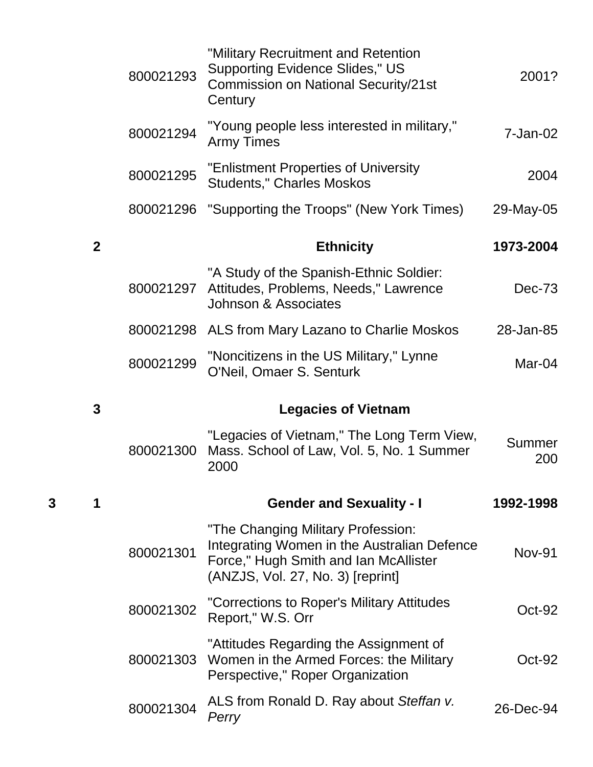|   |                | 800021293 | "Military Recruitment and Retention<br><b>Supporting Evidence Slides," US</b><br><b>Commission on National Security/21st</b><br>Century                         | 2001?         |
|---|----------------|-----------|-----------------------------------------------------------------------------------------------------------------------------------------------------------------|---------------|
|   |                | 800021294 | "Young people less interested in military,"<br><b>Army Times</b>                                                                                                | $7 - Jan-02$  |
|   |                | 800021295 | "Enlistment Properties of University<br><b>Students," Charles Moskos</b>                                                                                        | 2004          |
|   |                | 800021296 | "Supporting the Troops" (New York Times)                                                                                                                        | 29-May-05     |
|   | $\overline{2}$ |           | <b>Ethnicity</b>                                                                                                                                                | 1973-2004     |
|   |                | 800021297 | "A Study of the Spanish-Ethnic Soldier:<br>Attitudes, Problems, Needs," Lawrence<br>Johnson & Associates                                                        | $Dec-73$      |
|   |                |           | 800021298 ALS from Mary Lazano to Charlie Moskos                                                                                                                | 28-Jan-85     |
|   |                | 800021299 | "Noncitizens in the US Military," Lynne<br>O'Neil, Omaer S. Senturk                                                                                             | Mar-04        |
|   |                |           |                                                                                                                                                                 |               |
|   | 3              |           | <b>Legacies of Vietnam</b>                                                                                                                                      |               |
|   |                | 800021300 | "Legacies of Vietnam," The Long Term View,<br>Mass. School of Law, Vol. 5, No. 1 Summer<br>2000                                                                 | Summer<br>200 |
| 3 |                |           | <b>Gender and Sexuality - I</b>                                                                                                                                 | 1992-1998     |
|   |                | 800021301 | "The Changing Military Profession:<br>Integrating Women in the Australian Defence<br>Force," Hugh Smith and Ian McAllister<br>(ANZJS, Vol. 27, No. 3) [reprint] | <b>Nov-91</b> |
|   |                | 800021302 | "Corrections to Roper's Military Attitudes<br>Report," W.S. Orr                                                                                                 | $Oct-92$      |
|   |                | 800021303 | "Attitudes Regarding the Assignment of<br>Women in the Armed Forces: the Military<br>Perspective," Roper Organization                                           | $Oct-92$      |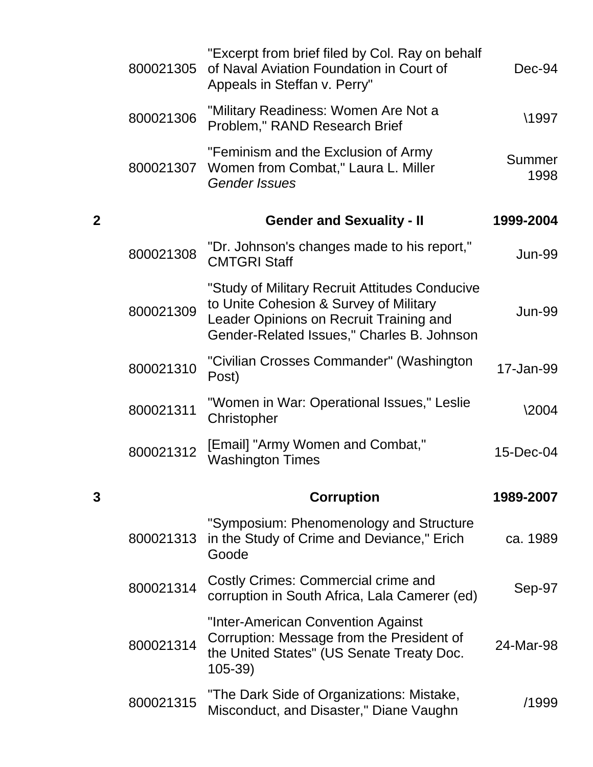|                         | 800021305 | "Excerpt from brief filed by Col. Ray on behalf<br>of Naval Aviation Foundation in Court of<br>Appeals in Steffan v. Perry"                                                       | Dec-94         |
|-------------------------|-----------|-----------------------------------------------------------------------------------------------------------------------------------------------------------------------------------|----------------|
|                         | 800021306 | "Military Readiness: Women Are Not a<br>Problem," RAND Research Brief                                                                                                             | \1997          |
|                         | 800021307 | "Feminism and the Exclusion of Army<br>Women from Combat," Laura L. Miller<br><b>Gender Issues</b>                                                                                | Summer<br>1998 |
| $\overline{\mathbf{2}}$ |           | <b>Gender and Sexuality - II</b>                                                                                                                                                  | 1999-2004      |
|                         | 800021308 | "Dr. Johnson's changes made to his report,"<br><b>CMTGRI Staff</b>                                                                                                                | Jun-99         |
|                         | 800021309 | "Study of Military Recruit Attitudes Conducive<br>to Unite Cohesion & Survey of Military<br>Leader Opinions on Recruit Training and<br>Gender-Related Issues," Charles B. Johnson | Jun-99         |
|                         | 800021310 | "Civilian Crosses Commander" (Washington<br>Post)                                                                                                                                 | 17-Jan-99      |
|                         | 800021311 | "Women in War: Operational Issues," Leslie<br>Christopher                                                                                                                         | \2004          |
|                         | 800021312 | [Email] "Army Women and Combat,"<br><b>Washington Times</b>                                                                                                                       | 15-Dec-04      |
| 3                       |           | <b>Corruption</b>                                                                                                                                                                 | 1989-2007      |
|                         | 800021313 | "Symposium: Phenomenology and Structure<br>in the Study of Crime and Deviance," Erich<br>Goode                                                                                    | ca. 1989       |
|                         | 800021314 | Costly Crimes: Commercial crime and<br>corruption in South Africa, Lala Camerer (ed)                                                                                              | Sep-97         |
|                         | 800021314 | "Inter-American Convention Against<br>Corruption: Message from the President of<br>the United States" (US Senate Treaty Doc.<br>$105 - 39$                                        | 24-Mar-98      |
|                         | 800021315 | "The Dark Side of Organizations: Mistake,<br>Misconduct, and Disaster," Diane Vaughn                                                                                              | /1999          |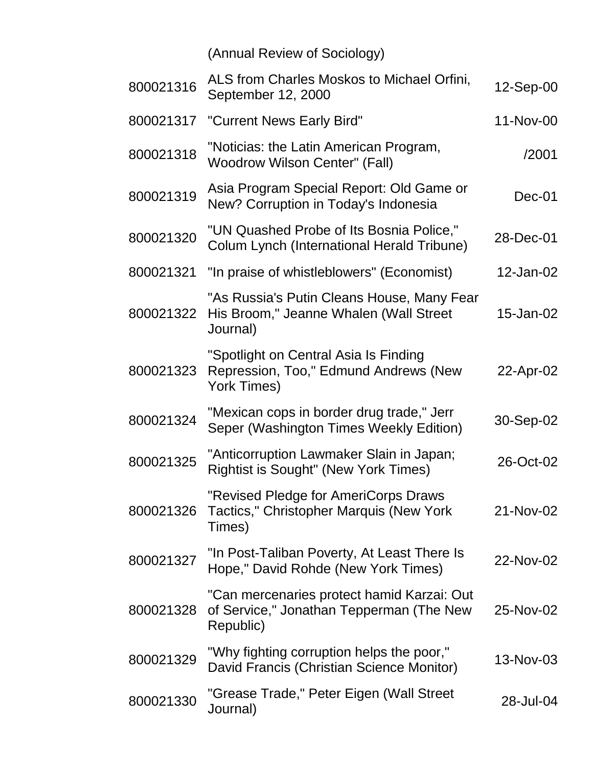(Annual Review of Sociology)

| 800021316 | ALS from Charles Moskos to Michael Orfini,<br>September 12, 2000                                    | 12-Sep-00 |
|-----------|-----------------------------------------------------------------------------------------------------|-----------|
| 800021317 | "Current News Early Bird"                                                                           | 11-Nov-00 |
| 800021318 | "Noticias: the Latin American Program,<br><b>Woodrow Wilson Center" (Fall)</b>                      | /2001     |
| 800021319 | Asia Program Special Report: Old Game or<br>New? Corruption in Today's Indonesia                    | $Dec-01$  |
| 800021320 | "UN Quashed Probe of Its Bosnia Police,"<br>Colum Lynch (International Herald Tribune)              | 28-Dec-01 |
| 800021321 | "In praise of whistleblowers" (Economist)                                                           | 12-Jan-02 |
| 800021322 | "As Russia's Putin Cleans House, Many Fear<br>His Broom," Jeanne Whalen (Wall Street<br>Journal)    | 15-Jan-02 |
| 800021323 | "Spotlight on Central Asia Is Finding<br>Repression, Too," Edmund Andrews (New<br>York Times)       | 22-Apr-02 |
| 800021324 | "Mexican cops in border drug trade," Jerr<br>Seper (Washington Times Weekly Edition)                | 30-Sep-02 |
| 800021325 | "Anticorruption Lawmaker Slain in Japan;<br><b>Rightist is Sought" (New York Times)</b>             | 26-Oct-02 |
| 800021326 | "Revised Pledge for AmeriCorps Draws<br>Tactics," Christopher Marquis (New York<br>Times)           | 21-Nov-02 |
| 800021327 | "In Post-Taliban Poverty, At Least There Is<br>Hope," David Rohde (New York Times)                  | 22-Nov-02 |
| 800021328 | "Can mercenaries protect hamid Karzai: Out<br>of Service," Jonathan Tepperman (The New<br>Republic) | 25-Nov-02 |
| 800021329 | "Why fighting corruption helps the poor,"<br>David Francis (Christian Science Monitor)              | 13-Nov-03 |
| 800021330 | "Grease Trade," Peter Eigen (Wall Street<br>Journal)                                                | 28-Jul-04 |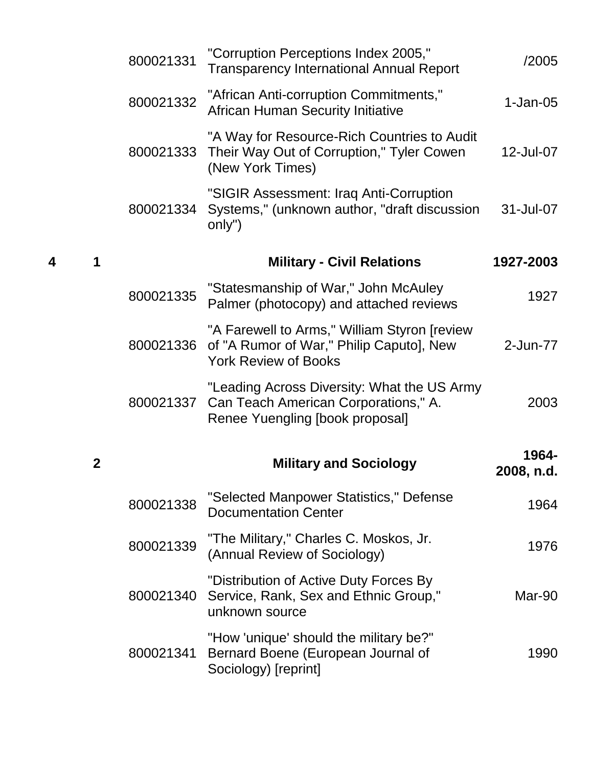|             | 800021331 | "Corruption Perceptions Index 2005,"<br><b>Transparency International Annual Report</b>                                 | /2005               |
|-------------|-----------|-------------------------------------------------------------------------------------------------------------------------|---------------------|
|             | 800021332 | "African Anti-corruption Commitments,"<br><b>African Human Security Initiative</b>                                      | $1-Jan-05$          |
|             | 800021333 | "A Way for Resource-Rich Countries to Audit<br>Their Way Out of Corruption," Tyler Cowen<br>(New York Times)            | 12-Jul-07           |
|             | 800021334 | "SIGIR Assessment: Iraq Anti-Corruption<br>Systems," (unknown author, "draft discussion<br>only")                       | 31-Jul-07           |
| 4<br>1      |           | <b>Military - Civil Relations</b>                                                                                       | 1927-2003           |
|             | 800021335 | "Statesmanship of War," John McAuley<br>Palmer (photocopy) and attached reviews                                         | 1927                |
|             | 800021336 | "A Farewell to Arms," William Styron [review<br>of "A Rumor of War," Philip Caputo], New<br><b>York Review of Books</b> | 2-Jun-77            |
|             | 800021337 | "Leading Across Diversity: What the US Army<br>Can Teach American Corporations," A.<br>Renee Yuengling [book proposal]  | 2003                |
| $\mathbf 2$ |           | <b>Military and Sociology</b>                                                                                           | 1964-<br>2008, n.d. |
|             | 800021338 | "Selected Manpower Statistics," Defense<br><b>Documentation Center</b>                                                  | 1964                |
|             | 800021339 | "The Military," Charles C. Moskos, Jr.<br>(Annual Review of Sociology)                                                  | 1976                |
|             | 800021340 | "Distribution of Active Duty Forces By<br>Service, Rank, Sex and Ethnic Group,"<br>unknown source                       | Mar-90              |
|             | 800021341 | "How 'unique' should the military be?"<br>Bernard Boene (European Journal of<br>Sociology) [reprint]                    | 1990                |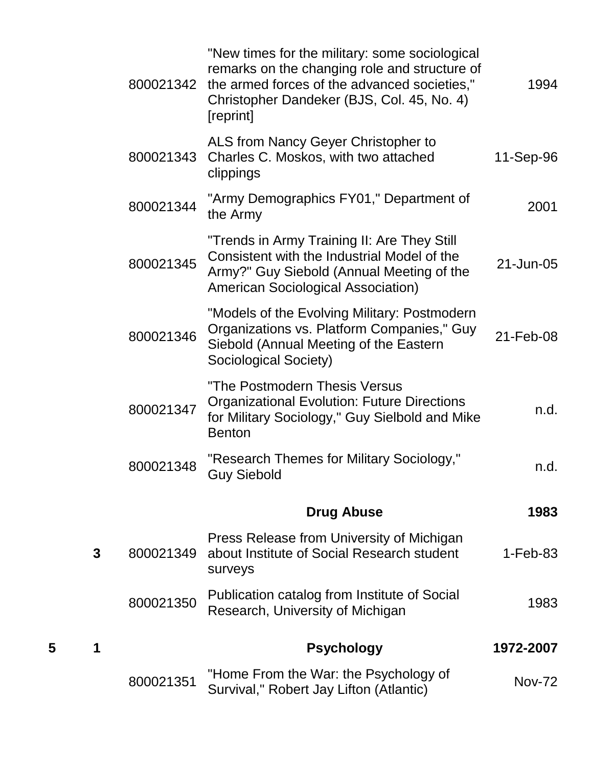|   |   | 800021342 | "New times for the military: some sociological<br>remarks on the changing role and structure of<br>the armed forces of the advanced societies,"<br>Christopher Dandeker (BJS, Col. 45, No. 4)<br>[reprint] | 1994          |
|---|---|-----------|------------------------------------------------------------------------------------------------------------------------------------------------------------------------------------------------------------|---------------|
|   |   | 800021343 | ALS from Nancy Geyer Christopher to<br>Charles C. Moskos, with two attached<br>clippings                                                                                                                   | 11-Sep-96     |
|   |   | 800021344 | "Army Demographics FY01," Department of<br>the Army                                                                                                                                                        | 2001          |
|   |   | 800021345 | "Trends in Army Training II: Are They Still<br>Consistent with the Industrial Model of the<br>Army?" Guy Siebold (Annual Meeting of the<br><b>American Sociological Association)</b>                       | 21-Jun-05     |
|   |   | 800021346 | "Models of the Evolving Military: Postmodern<br>Organizations vs. Platform Companies," Guy<br>Siebold (Annual Meeting of the Eastern<br>Sociological Society)                                              | 21-Feb-08     |
|   |   | 800021347 | "The Postmodern Thesis Versus<br><b>Organizational Evolution: Future Directions</b><br>for Military Sociology," Guy Sielbold and Mike<br><b>Benton</b>                                                     | n.d.          |
|   |   | 800021348 | "Research Themes for Military Sociology,"<br><b>Guy Siebold</b>                                                                                                                                            | n.d.          |
|   |   |           | <b>Drug Abuse</b>                                                                                                                                                                                          | 1983          |
|   | 3 | 800021349 | Press Release from University of Michigan<br>about Institute of Social Research student<br>surveys                                                                                                         | $1-Feb-83$    |
|   |   | 800021350 | Publication catalog from Institute of Social<br>Research, University of Michigan                                                                                                                           | 1983          |
| 5 |   |           | <b>Psychology</b>                                                                                                                                                                                          | 1972-2007     |
|   |   | 800021351 | "Home From the War: the Psychology of<br>Survival," Robert Jay Lifton (Atlantic)                                                                                                                           | <b>Nov-72</b> |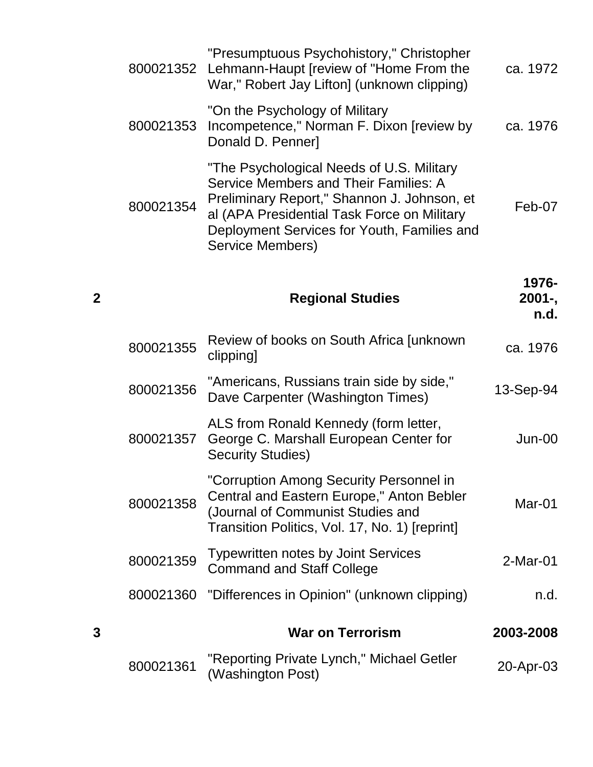|   | 800021352 | "Presumptuous Psychohistory," Christopher<br>Lehmann-Haupt [review of "Home From the<br>War," Robert Jay Lifton] (unknown clipping)                                                                                                                 | ca. 1972                    |
|---|-----------|-----------------------------------------------------------------------------------------------------------------------------------------------------------------------------------------------------------------------------------------------------|-----------------------------|
|   | 800021353 | "On the Psychology of Military"<br>Incompetence," Norman F. Dixon [review by<br>Donald D. Penner]                                                                                                                                                   | ca. 1976                    |
|   | 800021354 | "The Psychological Needs of U.S. Military<br>Service Members and Their Families: A<br>Preliminary Report," Shannon J. Johnson, et<br>al (APA Presidential Task Force on Military<br>Deployment Services for Youth, Families and<br>Service Members) | Feb-07                      |
| 2 |           | <b>Regional Studies</b>                                                                                                                                                                                                                             | 1976-<br>$2001 -$ ,<br>n.d. |
|   | 800021355 | Review of books on South Africa Junknown<br>clipping]                                                                                                                                                                                               | ca. 1976                    |
|   | 800021356 | "Americans, Russians train side by side,"<br>Dave Carpenter (Washington Times)                                                                                                                                                                      | 13-Sep-94                   |
|   | 800021357 | ALS from Ronald Kennedy (form letter,<br>George C. Marshall European Center for<br><b>Security Studies)</b>                                                                                                                                         | Jun-00                      |
|   | 800021358 | "Corruption Among Security Personnel in<br>Central and Eastern Europe," Anton Bebler<br>(Journal of Communist Studies and<br>Transition Politics, Vol. 17, No. 1) [reprint]                                                                         | Mar-01                      |
|   | 800021359 | <b>Typewritten notes by Joint Services</b><br><b>Command and Staff College</b>                                                                                                                                                                      | $2-Mar-01$                  |
|   | 800021360 | "Differences in Opinion" (unknown clipping)                                                                                                                                                                                                         | n.d.                        |
| 3 |           | <b>War on Terrorism</b>                                                                                                                                                                                                                             | 2003-2008                   |
|   | 800021361 | "Reporting Private Lynch," Michael Getler<br>(Washington Post)                                                                                                                                                                                      | 20-Apr-03                   |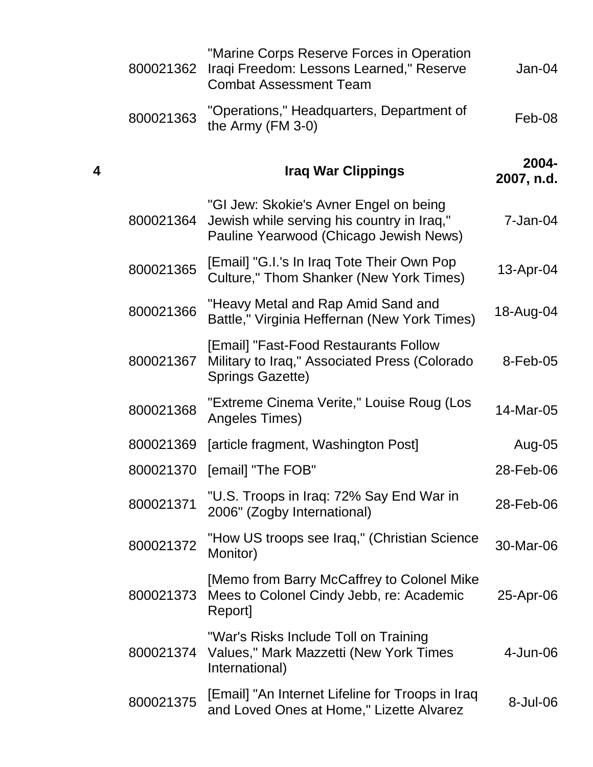|   | 800021362 | "Marine Corps Reserve Forces in Operation<br>Iraqi Freedom: Lessons Learned," Reserve<br><b>Combat Assessment Team</b>         | $Jan-04$            |
|---|-----------|--------------------------------------------------------------------------------------------------------------------------------|---------------------|
|   | 800021363 | "Operations," Headquarters, Department of<br>the Army $(FM 3-0)$                                                               | Feb-08              |
| 4 |           | <b>Iraq War Clippings</b>                                                                                                      | 2004-<br>2007, n.d. |
|   | 800021364 | "GI Jew: Skokie's Avner Engel on being<br>Jewish while serving his country in Iraq,"<br>Pauline Yearwood (Chicago Jewish News) | $7 - Jan-04$        |
|   | 800021365 | [Email] "G.I.'s In Iraq Tote Their Own Pop<br><b>Culture," Thom Shanker (New York Times)</b>                                   | 13-Apr-04           |
|   | 800021366 | "Heavy Metal and Rap Amid Sand and<br>Battle," Virginia Heffernan (New York Times)                                             | 18-Aug-04           |
|   | 800021367 | [Email] "Fast-Food Restaurants Follow<br>Military to Iraq," Associated Press (Colorado<br><b>Springs Gazette)</b>              | 8-Feb-05            |
|   | 800021368 | "Extreme Cinema Verite," Louise Roug (Los<br>Angeles Times)                                                                    | 14-Mar-05           |
|   | 800021369 | [article fragment, Washington Post]                                                                                            | Aug-05              |
|   | 800021370 | [email] "The FOB"                                                                                                              | 28-Feb-06           |
|   | 800021371 | "U.S. Troops in Iraq: 72% Say End War in<br>2006" (Zogby International)                                                        | 28-Feb-06           |
|   | 800021372 | "How US troops see Iraq," (Christian Science<br>Monitor)                                                                       | 30-Mar-06           |
|   | 800021373 | [Memo from Barry McCaffrey to Colonel Mike<br>Mees to Colonel Cindy Jebb, re: Academic<br>Report]                              | 25-Apr-06           |
|   | 800021374 | "War's Risks Include Toll on Training<br>Values," Mark Mazzetti (New York Times<br>International)                              | 4-Jun-06            |
|   | 800021375 | [Email] "An Internet Lifeline for Troops in Iraq<br>and Loved Ones at Home," Lizette Alvarez                                   | 8-Jul-06            |